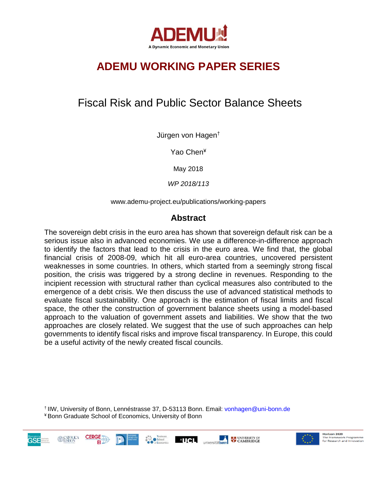

# **ADEMU WORKING PAPER SERIES**

# Fiscal Risk and Public Sector Balance Sheets

Jürgen von Hagen†

Yao Chen¥

May 2018

*WP 2018/113* 

www.ademu-project.eu/publications/working-papers

## **Abstract**

The sovereign debt crisis in the euro area has shown that sovereign default risk can be a serious issue also in advanced economies. We use a difference-in-difference approach to identify the factors that lead to the crisis in the euro area. We find that, the global financial crisis of 2008-09, which hit all euro-area countries, uncovered persistent weaknesses in some countries. In others, which started from a seemingly strong fiscal position, the crisis was triggered by a strong decline in revenues. Responding to the incipient recession with structural rather than cyclical measures also contributed to the emergence of a debt crisis. We then discuss the use of advanced statistical methods to evaluate fiscal sustainability. One approach is the estimation of fiscal limits and fiscal space, the other the construction of government balance sheets using a model-based approach to the valuation of government assets and liabilities. We show that the two approaches are closely related. We suggest that the use of such approaches can help governments to identify fiscal risks and improve fiscal transparency. In Europe, this could be a useful activity of the newly created fiscal councils.

† IIW, University of Bonn, Lennéstrasse 37, D-53113 Bonn. Email: vonhagen@uni-bonn.de ¥ Bonn Graduate School of Economics, University of Bonn





Horizon 2020 The Framework Programme<br>for Research and Innovation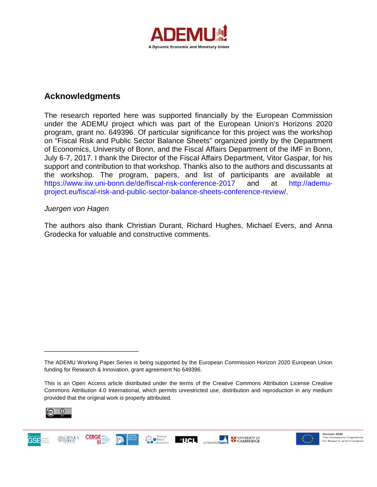

## **Acknowledgments**

The research reported here was supported financially by the European Commission under the ADEMU project which was part of the European Union's Horizons 2020 program, grant no. 649396. Of particular significance for this project was the workshop on "Fiscal Risk and Public Sector Balance Sheets" organized jointly by the Department of Economics, University of Bonn, and the Fiscal Affairs Department of the IMF in Bonn, July 6-7, 2017. I thank the Director of the Fiscal Affairs Department, Vitor Gaspar, for his support and contribution to that workshop. Thanks also to the authors and discussants at the workshop. The program, papers, and list of participants are available at https://www.iiw.uni-bonn.de/de/fiscal-risk-conference-2017 and at http://ademuproject.eu/fiscal-risk-and-public-sector-balance-sheets-conference-review/.

## *Juergen von Hagen*

\_\_\_\_\_\_\_\_\_\_\_\_\_\_\_\_\_\_\_\_\_\_\_\_\_

The authors also thank Christian Durant, Richard Hughes, Michael Evers, and Anna Grodecka for valuable and constructive comments.

This is an Open Access article distributed under the terms of the Creative Commons Attribution License Creative Commons Attribution 4.0 International, which permits unrestricted use, distribution and reproduction in any medium provided that the original work is properly attributed.



**GSE** 





The ADEMU Working Paper Series is being supported by the European Commission Horizon 2020 European Union funding for Research & Innovation, grant agreement No 649396.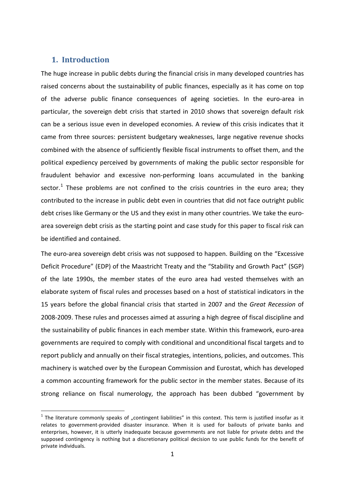## **1. Introduction**

The huge increase in public debts during the financial crisis in many developed countries has raised concerns about the sustainability of public finances, especially as it has come on top of the adverse public finance consequences of ageing societies. In the euro-area in particular, the sovereign debt crisis that started in 2010 shows that sovereign default risk can be a serious issue even in developed economies. A review of this crisis indicates that it came from three sources: persistent budgetary weaknesses, large negative revenue shocks combined with the absence of sufficiently flexible fiscal instruments to offset them, and the political expediency perceived by governments of making the public sector responsible for fraudulent behavior and excessive non-performing loans accumulated in the banking sector.<sup>[1](#page-2-0)</sup> These problems are not confined to the crisis countries in the euro area; they contributed to the increase in public debt even in countries that did not face outright public debt crises like Germany or the US and they exist in many other countries. We take the euroarea sovereign debt crisis as the starting point and case study for this paper to fiscal risk can be identified and contained.

The euro-area sovereign debt crisis was not supposed to happen. Building on the "Excessive Deficit Procedure" (EDP) of the Maastricht Treaty and the "Stability and Growth Pact" (SGP) of the late 1990s, the member states of the euro area had vested themselves with an elaborate system of fiscal rules and processes based on a host of statistical indicators in the 15 years before the global financial crisis that started in 2007 and the *Great Recession* of 2008-2009. These rules and processes aimed at assuring a high degree of fiscal discipline and the sustainability of public finances in each member state. Within this framework, euro-area governments are required to comply with conditional and unconditional fiscal targets and to report publicly and annually on their fiscal strategies, intentions, policies, and outcomes. This machinery is watched over by the European Commission and Eurostat, which has developed a common accounting framework for the public sector in the member states. Because of its strong reliance on fiscal numerology, the approach has been dubbed "government by

<span id="page-2-0"></span> $1$  The literature commonly speaks of "contingent liabilities" in this context. This term is justified insofar as it relates to government-provided disaster insurance. When it is used for bailouts of private banks and enterprises, however, it is utterly inadequate because governments are not liable for private debts and the supposed contingency is nothing but a discretionary political decision to use public funds for the benefit of private individuals.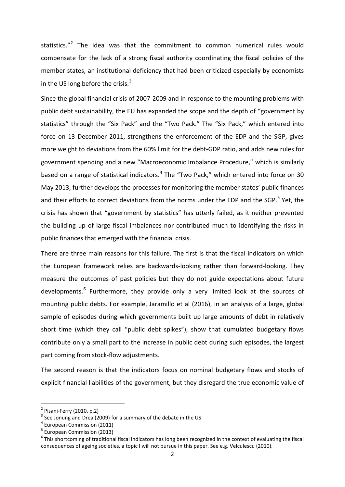statistics."<sup>[2](#page-3-0)</sup> The idea was that the commitment to common numerical rules would compensate for the lack of a strong fiscal authority coordinating the fiscal policies of the member states, an institutional deficiency that had been criticized especially by economists in the US long before the crisis. $3$ 

Since the global financial crisis of 2007-2009 and in response to the mounting problems with public debt sustainability, the EU has expanded the scope and the depth of "government by statistics" through the "Six Pack" and the "Two Pack." The "Six Pack," which entered into force on 13 December 2011, strengthens the enforcement of the EDP and the SGP, gives more weight to deviations from the 60% limit for the debt-GDP ratio, and adds new rules for government spending and a new "Macroeconomic Imbalance Procedure," which is similarly based on a range of statistical indicators.<sup>[4](#page-3-2)</sup> The "Two Pack," which entered into force on 30 May 2013, further develops the processes for monitoring the member states' public finances and their efforts to correct deviations from the norms under the EDP and the SGP. $5$  Yet, the crisis has shown that "government by statistics" has utterly failed, as it neither prevented the building up of large fiscal imbalances nor contributed much to identifying the risks in public finances that emerged with the financial crisis.

There are three main reasons for this failure. The first is that the fiscal indicators on which the European framework relies are backwards-looking rather than forward-looking. They measure the outcomes of past policies but they do not guide expectations about future developments.<sup>[6](#page-3-4)</sup> Furthermore, they provide only a very limited look at the sources of mounting public debts. For example, Jaramillo et al (2016), in an analysis of a large, global sample of episodes during which governments built up large amounts of debt in relatively short time (which they call "public debt spikes"), show that cumulated budgetary flows contribute only a small part to the increase in public debt during such episodes, the largest part coming from stock-flow adjustments.

The second reason is that the indicators focus on nominal budgetary flows and stocks of explicit financial liabilities of the government, but they disregard the true economic value of

<span id="page-3-1"></span>

<span id="page-3-0"></span><sup>&</sup>lt;sup>2</sup> Pisani-Ferry (2010, p.2)<br><sup>3</sup> See Jonung and Drea (2009) for a summary of the debate in the US<br><sup>4</sup> European Commission (2011)

<span id="page-3-2"></span>

<span id="page-3-3"></span> $<sup>5</sup>$  European Commission (2013)</sup>

<span id="page-3-4"></span> $6$  This shortcoming of traditional fiscal indicators has long been recognized in the context of evaluating the fiscal consequences of ageing societies, a topic I will not pursue in this paper. See e.g. Velculescu (2010).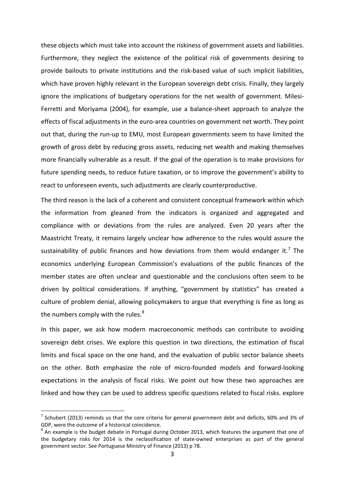these objects which must take into account the riskiness of government assets and liabilities. Furthermore, they neglect the existence of the political risk of governments desiring to provide bailouts to private institutions and the risk-based value of such implicit liabilities, which have proven highly relevant in the European sovereign debt crisis. Finally, they largely ignore the implications of budgetary operations for the net wealth of government. Milesi-Ferretti and Moriyama (2004), for example, use a balance-sheet approach to analyze the effects of fiscal adjustments in the euro-area countries on government net worth. They point out that, during the run-up to EMU, most European governments seem to have limited the growth of gross debt by reducing gross assets, reducing net wealth and making themselves more financially vulnerable as a result. If the goal of the operation is to make provisions for future spending needs, to reduce future taxation, or to improve the government's ability to react to unforeseen events, such adjustments are clearly counterproductive.

The third reason is the lack of a coherent and consistent conceptual framework within which the information from gleaned from the indicators is organized and aggregated and compliance with or deviations from the rules are analyzed. Even 20 years after the Maastricht Treaty, it remains largely unclear how adherence to the rules would assure the sustainability of public finances and how deviations from them would endanger it.<sup>[7](#page-4-0)</sup> The economics underlying European Commission's evaluations of the public finances of the member states are often unclear and questionable and the conclusions often seem to be driven by political considerations. If anything, "government by statistics" has created a culture of problem denial, allowing policymakers to argue that everything is fine as long as the numbers comply with the rules. $8$ 

In this paper, we ask how modern macroeconomic methods can contribute to avoiding sovereign debt crises. We explore this question in two directions, the estimation of fiscal limits and fiscal space on the one hand, and the evaluation of public sector balance sheets on the other. Both emphasize the role of micro-founded models and forward-looking expectations in the analysis of fiscal risks. We point out how these two approaches are linked and how they can be used to address specific questions related to fiscal risks. explore

<span id="page-4-0"></span> $<sup>7</sup>$  Schubert (2013) reminds us that the core criteria for general government debt and deficits, 60% and 3% of</sup> GDP, were the outcome of a historical coincidence.

<span id="page-4-1"></span><sup>&</sup>lt;sup>8</sup> An example is the budget debate in Portugal during October 2013, which features the argument that one of the budgetary risks for 2014 is the reclassification of state-owned enterprises as part of the general government sector. See Portuguese Ministry of Finance (2013) p 78.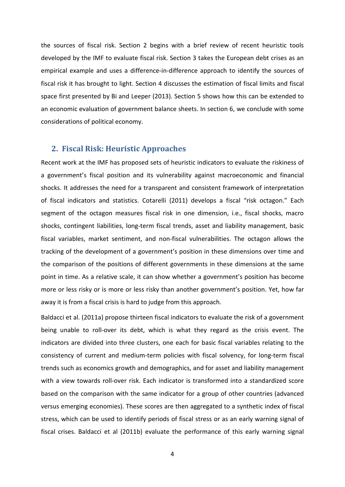the sources of fiscal risk. Section 2 begins with a brief review of recent heuristic tools developed by the IMF to evaluate fiscal risk. Section 3 takes the European debt crises as an empirical example and uses a difference-in-difference approach to identify the sources of fiscal risk it has brought to light. Section 4 discusses the estimation of fiscal limits and fiscal space first presented by Bi and Leeper (2013). Section 5 shows how this can be extended to an economic evaluation of government balance sheets. In section 6, we conclude with some considerations of political economy.

## **2. Fiscal Risk: Heuristic Approaches**

Recent work at the IMF has proposed sets of heuristic indicators to evaluate the riskiness of a government's fiscal position and its vulnerability against macroeconomic and financial shocks. It addresses the need for a transparent and consistent framework of interpretation of fiscal indicators and statistics. Cotarelli (2011) develops a fiscal "risk octagon." Each segment of the octagon measures fiscal risk in one dimension, i.e., fiscal shocks, macro shocks, contingent liabilities, long-term fiscal trends, asset and liability management, basic fiscal variables, market sentiment, and non-fiscal vulnerabilities. The octagon allows the tracking of the development of a government's position in these dimensions over time and the comparison of the positions of different governments in these dimensions at the same point in time. As a relative scale, it can show whether a government's position has become more or less risky or is more or less risky than another government's position. Yet, how far away it is from a fiscal crisis is hard to judge from this approach.

Baldacci et al. (2011a) propose thirteen fiscal indicators to evaluate the risk of a government being unable to roll-over its debt, which is what they regard as the crisis event. The indicators are divided into three clusters, one each for basic fiscal variables relating to the consistency of current and medium-term policies with fiscal solvency, for long-term fiscal trends such as economics growth and demographics, and for asset and liability management with a view towards roll-over risk. Each indicator is transformed into a standardized score based on the comparison with the same indicator for a group of other countries (advanced versus emerging economies). These scores are then aggregated to a synthetic index of fiscal stress, which can be used to identify periods of fiscal stress or as an early warning signal of fiscal crises. Baldacci et al (2011b) evaluate the performance of this early warning signal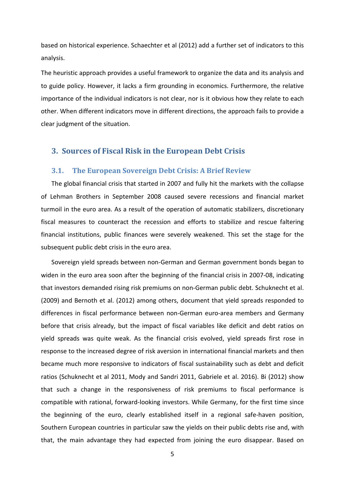based on historical experience. Schaechter et al (2012) add a further set of indicators to this analysis.

The heuristic approach provides a useful framework to organize the data and its analysis and to guide policy. However, it lacks a firm grounding in economics. Furthermore, the relative importance of the individual indicators is not clear, nor is it obvious how they relate to each other. When different indicators move in different directions, the approach fails to provide a clear judgment of the situation.

## **3. Sources of Fiscal Risk in the European Debt Crisis**

#### **3.1. The European Sovereign Debt Crisis: A Brief Review**

The global financial crisis that started in 2007 and fully hit the markets with the collapse of Lehman Brothers in September 2008 caused severe recessions and financial market turmoil in the euro area. As a result of the operation of automatic stabilizers, discretionary fiscal measures to counteract the recession and efforts to stabilize and rescue faltering financial institutions, public finances were severely weakened. This set the stage for the subsequent public debt crisis in the euro area.

Sovereign yield spreads between non-German and German government bonds began to widen in the euro area soon after the beginning of the financial crisis in 2007-08, indicating that investors demanded rising risk premiums on non-German public debt. Schuknecht et al. (2009) and Bernoth et al. (2012) among others, document that yield spreads responded to differences in fiscal performance between non-German euro-area members and Germany before that crisis already, but the impact of fiscal variables like deficit and debt ratios on yield spreads was quite weak. As the financial crisis evolved, yield spreads first rose in response to the increased degree of risk aversion in international financial markets and then became much more responsive to indicators of fiscal sustainability such as debt and deficit ratios (Schuknecht et al 2011, Mody and Sandri 2011, Gabriele et al. 2016). Bi (2012) show that such a change in the responsiveness of risk premiums to fiscal performance is compatible with rational, forward-looking investors. While Germany, for the first time since the beginning of the euro, clearly established itself in a regional safe-haven position, Southern European countries in particular saw the yields on their public debts rise and, with that, the main advantage they had expected from joining the euro disappear. Based on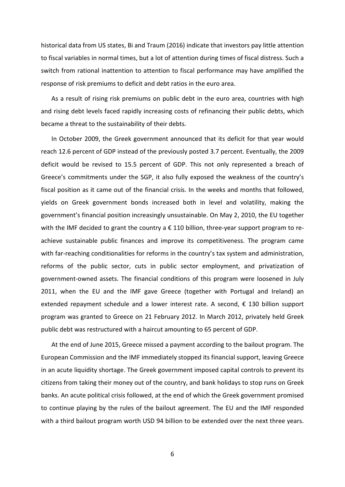historical data from US states, Bi and Traum (2016) indicate that investors pay little attention to fiscal variables in normal times, but a lot of attention during times of fiscal distress. Such a switch from rational inattention to attention to fiscal performance may have amplified the response of risk premiums to deficit and debt ratios in the euro area.

As a result of rising risk premiums on public debt in the euro area, countries with high and rising debt levels faced rapidly increasing costs of refinancing their public debts, which became a threat to the sustainability of their debts.

In October 2009, the Greek government announced that its deficit for that year would reach 12.6 percent of GDP instead of the previously posted 3.7 percent. Eventually, the 2009 deficit would be revised to 15.5 percent of GDP. This not only represented a breach of Greece's commitments under the SGP, it also fully exposed the weakness of the country's fiscal position as it came out of the financial crisis. In the weeks and months that followed, yields on Greek government bonds increased both in level and volatility, making the government's financial position increasingly unsustainable. On May 2, 2010, the EU together with the IMF decided to grant the country a  $\epsilon$  110 billion, three-year support program to reachieve sustainable public finances and improve its competitiveness. The program came with far-reaching conditionalities for reforms in the country's tax system and administration, reforms of the public sector, cuts in public sector employment, and privatization of government-owned assets. The financial conditions of this program were loosened in July 2011, when the EU and the IMF gave Greece (together with Portugal and Ireland) an extended repayment schedule and a lower interest rate. A second,  $\epsilon$  130 billion support program was granted to Greece on 21 February 2012. In March 2012, privately held Greek public debt was restructured with a haircut amounting to 65 percent of GDP.

At the end of June 2015, Greece missed a payment according to the bailout program. The European Commission and the IMF immediately stopped its financial support, leaving Greece in an acute liquidity shortage. The Greek government imposed capital controls to prevent its citizens from taking their money out of the country, and bank holidays to stop runs on Greek banks. An acute political crisis followed, at the end of which the Greek government promised to continue playing by the rules of the bailout agreement. The EU and the IMF responded with a third bailout program worth USD 94 billion to be extended over the next three years.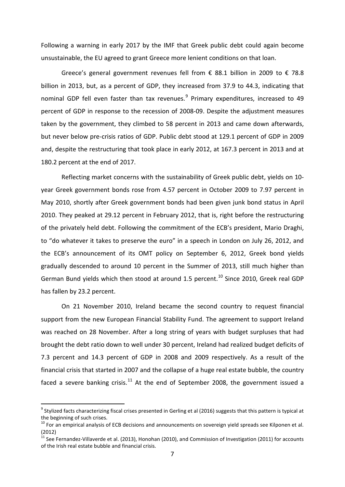Following a warning in early 2017 by the IMF that Greek public debt could again become unsustainable, the EU agreed to grant Greece more lenient conditions on that loan.

Greece's general government revenues fell from  $\epsilon$  88.1 billion in 2009 to  $\epsilon$  78.8 billion in 2013, but, as a percent of GDP, they increased from 37.9 to 44.3, indicating that nominal GDP fell even faster than tax revenues. $9$  Primary expenditures, increased to 49 percent of GDP in response to the recession of 2008-09. Despite the adjustment measures taken by the government, they climbed to 58 percent in 2013 and came down afterwards, but never below pre-crisis ratios of GDP. Public debt stood at 129.1 percent of GDP in 2009 and, despite the restructuring that took place in early 2012, at 167.3 percent in 2013 and at 180.2 percent at the end of 2017.

Reflecting market concerns with the sustainability of Greek public debt, yields on 10 year Greek government bonds rose from 4.57 percent in October 2009 to 7.97 percent in May 2010, shortly after Greek government bonds had been given junk bond status in April 2010. They peaked at 29.12 percent in February 2012, that is, right before the restructuring of the privately held debt. Following the commitment of the ECB's president, Mario Draghi, to "do whatever it takes to preserve the euro" in a speech in London on July 26, 2012, and the ECB's announcement of its OMT policy on September 6, 2012, Greek bond yields gradually descended to around 10 percent in the Summer of 2013, still much higher than German Bund yields which then stood at around 1.5 percent.<sup>[10](#page-8-1)</sup> Since 2010, Greek real GDP has fallen by 23.2 percent.

On 21 November 2010, Ireland became the second country to request financial support from the new European Financial Stability Fund. The agreement to support Ireland was reached on 28 November. After a long string of years with budget surpluses that had brought the debt ratio down to well under 30 percent, Ireland had realized budget deficits of 7.3 percent and 14.3 percent of GDP in 2008 and 2009 respectively. As a result of the financial crisis that started in 2007 and the collapse of a huge real estate bubble, the country faced a severe banking crisis.<sup>[11](#page-8-2)</sup> At the end of September 2008, the government issued a

<span id="page-8-0"></span> $9$  Stylized facts characterizing fiscal crises presented in Gerling et al (2016) suggests that this pattern is typical at the beginning of such crises.

<span id="page-8-1"></span><sup>&</sup>lt;sup>10</sup> For an empirical analysis of ECB decisions and announcements on sovereign yield spreads see Kilponen et al. (2012)

<span id="page-8-2"></span> $^{11}$  See Fernandez-Villaverde et al. (2013), Honohan (2010), and Commission of Investigation (2011) for accounts of the Irish real estate bubble and financial crisis.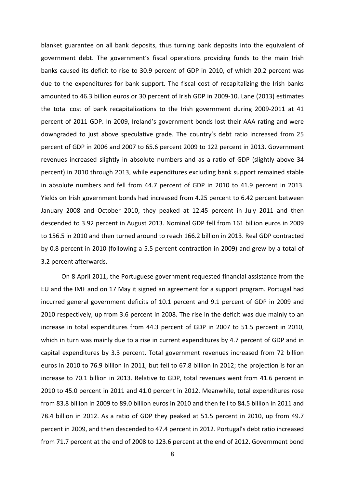blanket guarantee on all bank deposits, thus turning bank deposits into the equivalent of government debt. The government's fiscal operations providing funds to the main Irish banks caused its deficit to rise to 30.9 percent of GDP in 2010, of which 20.2 percent was due to the expenditures for bank support. The fiscal cost of recapitalizing the Irish banks amounted to 46.3 billion euros or 30 percent of Irish GDP in 2009-10. Lane (2013) estimates the total cost of bank recapitalizations to the Irish government during 2009-2011 at 41 percent of 2011 GDP. In 2009, Ireland's government bonds lost their AAA rating and were downgraded to just above speculative grade. The country's debt ratio increased from 25 percent of GDP in 2006 and 2007 to 65.6 percent 2009 to 122 percent in 2013. Government revenues increased slightly in absolute numbers and as a ratio of GDP (slightly above 34 percent) in 2010 through 2013, while expenditures excluding bank support remained stable in absolute numbers and fell from 44.7 percent of GDP in 2010 to 41.9 percent in 2013. Yields on Irish government bonds had increased from 4.25 percent to 6.42 percent between January 2008 and October 2010, they peaked at 12.45 percent in July 2011 and then descended to 3.92 percent in August 2013. Nominal GDP fell from 161 billion euros in 2009 to 156.5 in 2010 and then turned around to reach 166.2 billion in 2013. Real GDP contracted by 0.8 percent in 2010 (following a 5.5 percent contraction in 2009) and grew by a total of 3.2 percent afterwards.

On 8 April 2011, the Portuguese government requested financial assistance from the EU and the IMF and on 17 May it signed an agreement for a support program. Portugal had incurred general government deficits of 10.1 percent and 9.1 percent of GDP in 2009 and 2010 respectively, up from 3.6 percent in 2008. The rise in the deficit was due mainly to an increase in total expenditures from 44.3 percent of GDP in 2007 to 51.5 percent in 2010, which in turn was mainly due to a rise in current expenditures by 4.7 percent of GDP and in capital expenditures by 3.3 percent. Total government revenues increased from 72 billion euros in 2010 to 76.9 billion in 2011, but fell to 67.8 billion in 2012; the projection is for an increase to 70.1 billion in 2013. Relative to GDP, total revenues went from 41.6 percent in 2010 to 45.0 percent in 2011 and 41.0 percent in 2012. Meanwhile, total expenditures rose from 83.8 billion in 2009 to 89.0 billion euros in 2010 and then fell to 84.5 billion in 2011 and 78.4 billion in 2012. As a ratio of GDP they peaked at 51.5 percent in 2010, up from 49.7 percent in 2009, and then descended to 47.4 percent in 2012. Portugal's debt ratio increased from 71.7 percent at the end of 2008 to 123.6 percent at the end of 2012. Government bond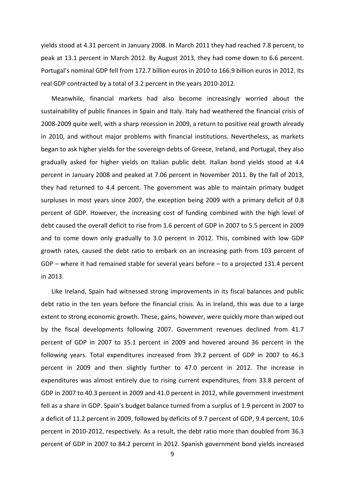yields stood at 4.31 percent in January 2008. In March 2011 they had reached 7.8 percent, to peak at 13.1 percent in March 2012. By August 2013, they had come down to 6.6 percent. Portugal's nominal GDP fell from 172.7 billion euros in 2010 to 166.9 billion euros in 2012. Its real GDP contracted by a total of 3.2 percent in the years 2010-2012.

Meanwhile, financial markets had also become increasingly worried about the sustainability of public finances in Spain and Italy. Italy had weathered the financial crisis of 2008-2009 quite well, with a sharp recession in 2009, a return to positive real growth already in 2010, and without major problems with financial institutions. Nevertheless, as markets began to ask higher yields for the sovereign debts of Greece, Ireland, and Portugal, they also gradually asked for higher yields on Italian public debt. Italian bond yields stood at 4.4 percent in January 2008 and peaked at 7.06 percent in November 2011. By the fall of 2013, they had returned to 4.4 percent. The government was able to maintain primary budget surpluses in most years since 2007, the exception being 2009 with a primary deficit of 0.8 percent of GDP. However, the increasing cost of funding combined with the high level of debt caused the overall deficit to rise from 1.6 percent of GDP in 2007 to 5.5 percent in 2009 and to come down only gradually to 3.0 percent in 2012. This, combined with low GDP growth rates, caused the debt ratio to embark on an increasing path from 103 percent of GDP – where it had remained stable for several years before – to a projected 131.4 percent in 2013.

Like Ireland, Spain had witnessed strong improvements in its fiscal balances and public debt ratio in the ten years before the financial crisis. As in Ireland, this was due to a large extent to strong economic growth. These, gains, however, were quickly more than wiped out by the fiscal developments following 2007. Government revenues declined from 41.7 percent of GDP in 2007 to 35.1 percent in 2009 and hovered around 36 percent in the following years. Total expenditures increased from 39.2 percent of GDP in 2007 to 46.3 percent in 2009 and then slightly further to 47.0 percent in 2012. The increase in expenditures was almost entirely due to rising current expenditures, from 33.8 percent of GDP in 2007 to 40.3 percent in 2009 and 41.0 percent in 2012, while government investment fell as a share in GDP. Spain's budget balance turned from a surplus of 1.9 percent in 2007 to a deficit of 11.2 percent in 2009, followed by deficits of 9.7 percent of GDP, 9.4 percent, 10.6 percent in 2010-2012, respectively. As a result, the debt ratio more than doubled from 36.3 percent of GDP in 2007 to 84.2 percent in 2012. Spanish government bond yields increased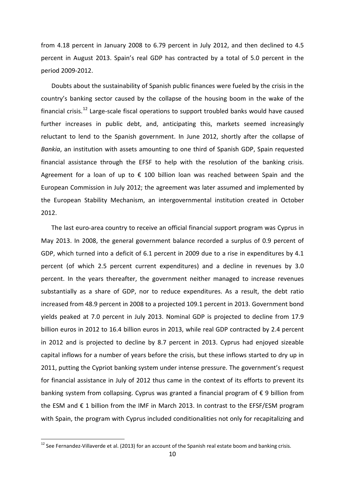from 4.18 percent in January 2008 to 6.79 percent in July 2012, and then declined to 4.5 percent in August 2013. Spain's real GDP has contracted by a total of 5.0 percent in the period 2009-2012.

Doubts about the sustainability of Spanish public finances were fueled by the crisis in the country's banking sector caused by the collapse of the housing boom in the wake of the financial crisis.[12](#page-11-0) Large-scale fiscal operations to support troubled banks would have caused further increases in public debt, and, anticipating this, markets seemed increasingly reluctant to lend to the Spanish government. In June 2012, shortly after the collapse of *Bankia*, an institution with assets amounting to one third of Spanish GDP, Spain requested financial assistance through the EFSF to help with the resolution of the banking crisis. Agreement for a loan of up to  $\epsilon$  100 billion loan was reached between Spain and the European Commission in July 2012; the agreement was later assumed and implemented by the European Stability Mechanism, an intergovernmental institution created in October 2012.

The last euro-area country to receive an official financial support program was Cyprus in May 2013. In 2008, the general government balance recorded a surplus of 0.9 percent of GDP, which turned into a deficit of 6.1 percent in 2009 due to a rise in expenditures by 4.1 percent (of which 2.5 percent current expenditures) and a decline in revenues by 3.0 percent. In the years thereafter, the government neither managed to increase revenues substantially as a share of GDP, nor to reduce expenditures. As a result, the debt ratio increased from 48.9 percent in 2008 to a projected 109.1 percent in 2013. Government bond yields peaked at 7.0 percent in July 2013. Nominal GDP is projected to decline from 17.9 billion euros in 2012 to 16.4 billion euros in 2013, while real GDP contracted by 2.4 percent in 2012 and is projected to decline by 8.7 percent in 2013. Cyprus had enjoyed sizeable capital inflows for a number of years before the crisis, but these inflows started to dry up in 2011, putting the Cypriot banking system under intense pressure. The government's request for financial assistance in July of 2012 thus came in the context of its efforts to prevent its banking system from collapsing. Cyprus was granted a financial program of € 9 billion from the ESM and  $\epsilon$  1 billion from the IMF in March 2013. In contrast to the EFSF/ESM program with Spain, the program with Cyprus included conditionalities not only for recapitalizing and

<span id="page-11-0"></span><sup>&</sup>lt;sup>12</sup> See Fernandez-Villaverde et al. (2013) for an account of the Spanish real estate boom and banking crisis.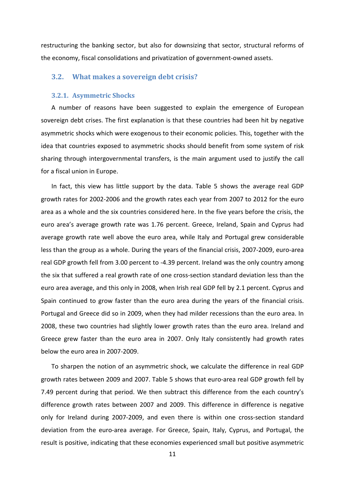restructuring the banking sector, but also for downsizing that sector, structural reforms of the economy, fiscal consolidations and privatization of government-owned assets.

## **3.2. What makes a sovereign debt crisis?**

#### **3.2.1. Asymmetric Shocks**

A number of reasons have been suggested to explain the emergence of European sovereign debt crises. The first explanation is that these countries had been hit by negative asymmetric shocks which were exogenous to their economic policies. This, together with the idea that countries exposed to asymmetric shocks should benefit from some system of risk sharing through intergovernmental transfers, is the main argument used to justify the call for a fiscal union in Europe.

In fact, this view has little support by the data. Table 5 shows the average real GDP growth rates for 2002-2006 and the growth rates each year from 2007 to 2012 for the euro area as a whole and the six countries considered here. In the five years before the crisis, the euro area's average growth rate was 1.76 percent. Greece, Ireland, Spain and Cyprus had average growth rate well above the euro area, while Italy and Portugal grew considerable less than the group as a whole. During the years of the financial crisis, 2007-2009, euro-area real GDP growth fell from 3.00 percent to -4.39 percent. Ireland was the only country among the six that suffered a real growth rate of one cross-section standard deviation less than the euro area average, and this only in 2008, when Irish real GDP fell by 2.1 percent. Cyprus and Spain continued to grow faster than the euro area during the years of the financial crisis. Portugal and Greece did so in 2009, when they had milder recessions than the euro area. In 2008, these two countries had slightly lower growth rates than the euro area. Ireland and Greece grew faster than the euro area in 2007. Only Italy consistently had growth rates below the euro area in 2007-2009.

To sharpen the notion of an asymmetric shock, we calculate the difference in real GDP growth rates between 2009 and 2007. Table 5 shows that euro-area real GDP growth fell by 7.49 percent during that period. We then subtract this difference from the each country's difference growth rates between 2007 and 2009. This difference in difference is negative only for Ireland during 2007-2009, and even there is within one cross-section standard deviation from the euro-area average. For Greece, Spain, Italy, Cyprus, and Portugal, the result is positive, indicating that these economies experienced small but positive asymmetric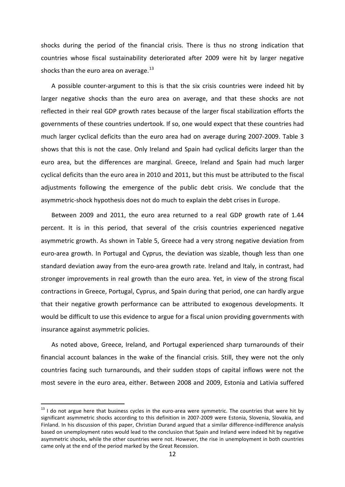shocks during the period of the financial crisis. There is thus no strong indication that countries whose fiscal sustainability deteriorated after 2009 were hit by larger negative shocks than the euro area on average. $13$ 

A possible counter-argument to this is that the six crisis countries were indeed hit by larger negative shocks than the euro area on average, and that these shocks are not reflected in their real GDP growth rates because of the larger fiscal stabilization efforts the governments of these countries undertook. If so, one would expect that these countries had much larger cyclical deficits than the euro area had on average during 2007-2009. Table 3 shows that this is not the case. Only Ireland and Spain had cyclical deficits larger than the euro area, but the differences are marginal. Greece, Ireland and Spain had much larger cyclical deficits than the euro area in 2010 and 2011, but this must be attributed to the fiscal adjustments following the emergence of the public debt crisis. We conclude that the asymmetric-shock hypothesis does not do much to explain the debt crises in Europe.

Between 2009 and 2011, the euro area returned to a real GDP growth rate of 1.44 percent. It is in this period, that several of the crisis countries experienced negative asymmetric growth. As shown in Table 5, Greece had a very strong negative deviation from euro-area growth. In Portugal and Cyprus, the deviation was sizable, though less than one standard deviation away from the euro-area growth rate. Ireland and Italy, in contrast, had stronger improvements in real growth than the euro area. Yet, in view of the strong fiscal contractions in Greece, Portugal, Cyprus, and Spain during that period, one can hardly argue that their negative growth performance can be attributed to exogenous developments. It would be difficult to use this evidence to argue for a fiscal union providing governments with insurance against asymmetric policies.

As noted above, Greece, Ireland, and Portugal experienced sharp turnarounds of their financial account balances in the wake of the financial crisis. Still, they were not the only countries facing such turnarounds, and their sudden stops of capital inflows were not the most severe in the euro area, either. Between 2008 and 2009, Estonia and Lativia suffered

<span id="page-13-0"></span> $13$  I do not argue here that business cycles in the euro-area were symmetric. The countries that were hit by significant asymmetric shocks according to this definition in 2007-2009 were Estonia, Slovenia, Slovakia, and Finland. In his discussion of this paper, Christian Durand argued that a similar difference-indifference analysis based on unemployment rates would lead to the conclusion that Spain and Ireland were indeed hit by negative asymmetric shocks, while the other countries were not. However, the rise in unemployment in both countries came only at the end of the period marked by the Great Recession.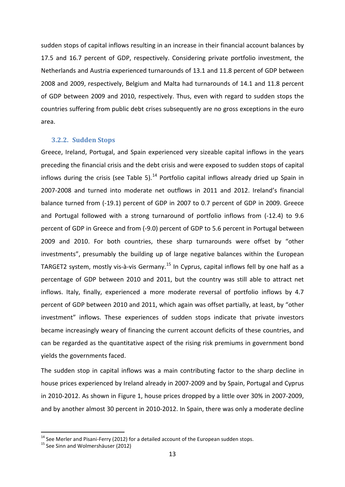sudden stops of capital inflows resulting in an increase in their financial account balances by 17.5 and 16.7 percent of GDP, respectively. Considering private portfolio investment, the Netherlands and Austria experienced turnarounds of 13.1 and 11.8 percent of GDP between 2008 and 2009, respectively, Belgium and Malta had turnarounds of 14.1 and 11.8 percent of GDP between 2009 and 2010, respectively. Thus, even with regard to sudden stops the countries suffering from public debt crises subsequently are no gross exceptions in the euro area.

#### **3.2.2. Sudden Stops**

Greece, Ireland, Portugal, and Spain experienced very sizeable capital inflows in the years preceding the financial crisis and the debt crisis and were exposed to sudden stops of capital inflows during the crisis (see Table 5).<sup>[14](#page-14-0)</sup> Portfolio capital inflows already dried up Spain in 2007-2008 and turned into moderate net outflows in 2011 and 2012. Ireland's financial balance turned from (-19.1) percent of GDP in 2007 to 0.7 percent of GDP in 2009. Greece and Portugal followed with a strong turnaround of portfolio inflows from (-12.4) to 9.6 percent of GDP in Greece and from (-9.0) percent of GDP to 5.6 percent in Portugal between 2009 and 2010. For both countries, these sharp turnarounds were offset by "other investments", presumably the building up of large negative balances within the European TARGET2 system, mostly vis-à-vis Germany.<sup>[15](#page-14-1)</sup> In Cyprus, capital inflows fell by one half as a percentage of GDP between 2010 and 2011, but the country was still able to attract net inflows. Italy, finally, experienced a more moderate reversal of portfolio inflows by 4.7 percent of GDP between 2010 and 2011, which again was offset partially, at least, by "other investment" inflows. These experiences of sudden stops indicate that private investors became increasingly weary of financing the current account deficits of these countries, and can be regarded as the quantitative aspect of the rising risk premiums in government bond yields the governments faced.

The sudden stop in capital inflows was a main contributing factor to the sharp decline in house prices experienced by Ireland already in 2007-2009 and by Spain, Portugal and Cyprus in 2010-2012. As shown in Figure 1, house prices dropped by a little over 30% in 2007-2009, and by another almost 30 percent in 2010-2012. In Spain, there was only a moderate decline

<span id="page-14-0"></span><sup>&</sup>lt;sup>14</sup> See Merler and Pisani-Ferry (2012) for a detailed account of the European sudden stops.<br><sup>15</sup> See Sinn and Wolmershäuser (2012)

<span id="page-14-1"></span>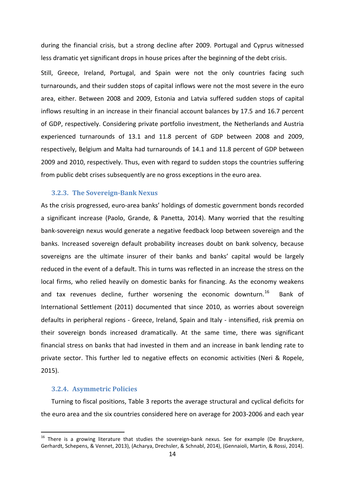during the financial crisis, but a strong decline after 2009. Portugal and Cyprus witnessed less dramatic yet significant drops in house prices after the beginning of the debt crisis.

Still, Greece, Ireland, Portugal, and Spain were not the only countries facing such turnarounds, and their sudden stops of capital inflows were not the most severe in the euro area, either. Between 2008 and 2009, Estonia and Latvia suffered sudden stops of capital inflows resulting in an increase in their financial account balances by 17.5 and 16.7 percent of GDP, respectively. Considering private portfolio investment, the Netherlands and Austria experienced turnarounds of 13.1 and 11.8 percent of GDP between 2008 and 2009, respectively, Belgium and Malta had turnarounds of 14.1 and 11.8 percent of GDP between 2009 and 2010, respectively. Thus, even with regard to sudden stops the countries suffering from public debt crises subsequently are no gross exceptions in the euro area.

#### **3.2.3. The Sovereign-Bank Nexus**

As the crisis progressed, euro-area banks' holdings of domestic government bonds recorded a significant increase (Paolo, Grande, & Panetta, 2014). Many worried that the resulting bank-sovereign nexus would generate a negative feedback loop between sovereign and the banks. Increased sovereign default probability increases doubt on bank solvency, because sovereigns are the ultimate insurer of their banks and banks' capital would be largely reduced in the event of a default. This in turns was reflected in an increase the stress on the local firms, who relied heavily on domestic banks for financing. As the economy weakens and tax revenues decline, further worsening the economic downturn.<sup>16</sup> Bank of International Settlement (2011) documented that since 2010, as worries about sovereign defaults in peripheral regions - Greece, Ireland, Spain and Italy - intensified, risk premia on their sovereign bonds increased dramatically. At the same time, there was significant financial stress on banks that had invested in them and an increase in bank lending rate to private sector. This further led to negative effects on economic activities (Neri & Ropele, 2015).

#### **3.2.4. Asymmetric Policies**

Turning to fiscal positions, Table 3 reports the average structural and cyclical deficits for the euro area and the six countries considered here on average for 2003-2006 and each year

<span id="page-15-0"></span> $16$  There is a growing literature that studies the sovereign-bank nexus. See for example (De Bruyckere, Gerhardt, Schepens, & Vennet, 2013), (Acharya, Drechsler, & Schnabl, 2014), (Gennaioli, Martin, & Rossi, 2014).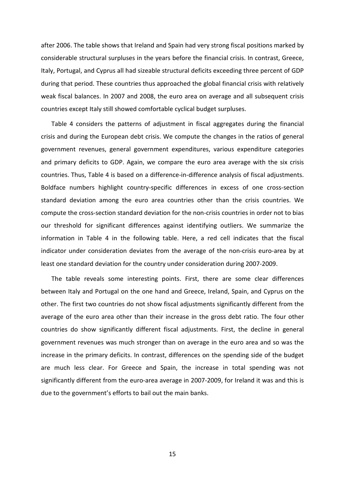after 2006. The table shows that Ireland and Spain had very strong fiscal positions marked by considerable structural surpluses in the years before the financial crisis. In contrast, Greece, Italy, Portugal, and Cyprus all had sizeable structural deficits exceeding three percent of GDP during that period. These countries thus approached the global financial crisis with relatively weak fiscal balances. In 2007 and 2008, the euro area on average and all subsequent crisis countries except Italy still showed comfortable cyclical budget surpluses.

Table 4 considers the patterns of adjustment in fiscal aggregates during the financial crisis and during the European debt crisis. We compute the changes in the ratios of general government revenues, general government expenditures, various expenditure categories and primary deficits to GDP. Again, we compare the euro area average with the six crisis countries. Thus, Table 4 is based on a difference-in-difference analysis of fiscal adjustments. Boldface numbers highlight country-specific differences in excess of one cross-section standard deviation among the euro area countries other than the crisis countries. We compute the cross-section standard deviation for the non-crisis countries in order not to bias our threshold for significant differences against identifying outliers. We summarize the information in Table 4 in the following table. Here, a red cell indicates that the fiscal indicator under consideration deviates from the average of the non-crisis euro-area by at least one standard deviation for the country under consideration during 2007-2009.

The table reveals some interesting points. First, there are some clear differences between Italy and Portugal on the one hand and Greece, Ireland, Spain, and Cyprus on the other. The first two countries do not show fiscal adjustments significantly different from the average of the euro area other than their increase in the gross debt ratio. The four other countries do show significantly different fiscal adjustments. First, the decline in general government revenues was much stronger than on average in the euro area and so was the increase in the primary deficits. In contrast, differences on the spending side of the budget are much less clear. For Greece and Spain, the increase in total spending was not significantly different from the euro-area average in 2007-2009, for Ireland it was and this is due to the government's efforts to bail out the main banks.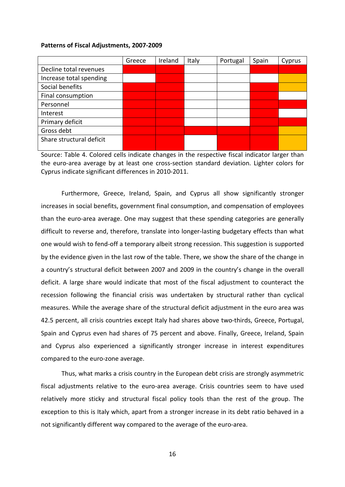#### **Patterns of Fiscal Adjustments, 2007-2009**

|                          | Greece | Ireland | Italy | Portugal | Spain | Cyprus |
|--------------------------|--------|---------|-------|----------|-------|--------|
| Decline total revenues   |        |         |       |          |       |        |
| Increase total spending  |        |         |       |          |       |        |
| Social benefits          |        |         |       |          |       |        |
| Final consumption        |        |         |       |          |       |        |
| Personnel                |        |         |       |          |       |        |
| Interest                 |        |         |       |          |       |        |
| Primary deficit          |        |         |       |          |       |        |
| Gross debt               |        |         |       |          |       |        |
| Share structural deficit |        |         |       |          |       |        |
|                          |        |         |       |          |       |        |

Source: Table 4. Colored cells indicate changes in the respective fiscal indicator larger than the euro-area average by at least one cross-section standard deviation. Lighter colors for Cyprus indicate significant differences in 2010-2011.

Furthermore, Greece, Ireland, Spain, and Cyprus all show significantly stronger increases in social benefits, government final consumption, and compensation of employees than the euro-area average. One may suggest that these spending categories are generally difficult to reverse and, therefore, translate into longer-lasting budgetary effects than what one would wish to fend-off a temporary albeit strong recession. This suggestion is supported by the evidence given in the last row of the table. There, we show the share of the change in a country's structural deficit between 2007 and 2009 in the country's change in the overall deficit. A large share would indicate that most of the fiscal adjustment to counteract the recession following the financial crisis was undertaken by structural rather than cyclical measures. While the average share of the structural deficit adjustment in the euro area was 42.5 percent, all crisis countries except Italy had shares above two-thirds, Greece, Portugal, Spain and Cyprus even had shares of 75 percent and above. Finally, Greece, Ireland, Spain and Cyprus also experienced a significantly stronger increase in interest expenditures compared to the euro-zone average.

Thus, what marks a crisis country in the European debt crisis are strongly asymmetric fiscal adjustments relative to the euro-area average. Crisis countries seem to have used relatively more sticky and structural fiscal policy tools than the rest of the group. The exception to this is Italy which, apart from a stronger increase in its debt ratio behaved in a not significantly different way compared to the average of the euro-area.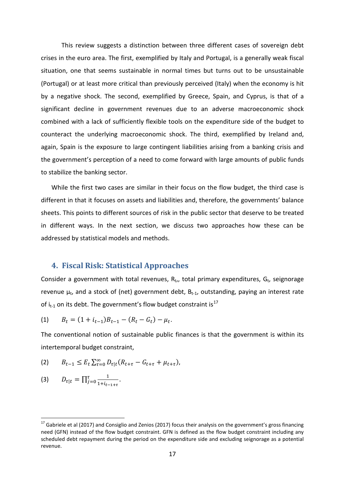This review suggests a distinction between three different cases of sovereign debt crises in the euro area. The first, exemplified by Italy and Portugal, is a generally weak fiscal situation, one that seems sustainable in normal times but turns out to be unsustainable (Portugal) or at least more critical than previously perceived (Italy) when the economy is hit by a negative shock. The second, exemplified by Greece, Spain, and Cyprus, is that of a significant decline in government revenues due to an adverse macroeconomic shock combined with a lack of sufficiently flexible tools on the expenditure side of the budget to counteract the underlying macroeconomic shock. The third, exemplified by Ireland and, again, Spain is the exposure to large contingent liabilities arising from a banking crisis and the government's perception of a need to come forward with large amounts of public funds to stabilize the banking sector.

While the first two cases are similar in their focus on the flow budget, the third case is different in that it focuses on assets and liabilities and, therefore, the governments' balance sheets. This points to different sources of risk in the public sector that deserve to be treated in different ways. In the next section, we discuss two approaches how these can be addressed by statistical models and methods.

## **4. Fiscal Risk: Statistical Approaches**

Consider a government with total revenues,  $R_t$ ,, total primary expenditures,  $G_t$ , seignorage revenue  $\mu_t$ , and a stock of (net) government debt,  $B_{t-1}$ , outstanding, paying an interest rate of  $i_{t-1}$  on its debt. The government's flow budget constraint is<sup>[17](#page-18-0)</sup>

(1) 
$$
B_t = (1 + i_{t-1})B_{t-1} - (R_t - G_t) - \mu_t.
$$

The conventional notion of sustainable public finances is that the government is within its intertemporal budget constraint,

$$
(2) \qquad B_{t-1} \leq E_t \sum_{\tau=0}^{\infty} D_{\tau|t} (R_{t+\tau} - G_{t+\tau} + \mu_{t+\tau}),
$$

$$
(3) \t D_{\tau|t} = \prod_{j=0}^{\tau} \frac{1}{1+i_{t-1+\tau}}.
$$

<span id="page-18-0"></span> $17$  Gabriele et al (2017) and Consiglio and Zenios (2017) focus their analysis on the government's gross financing need (GFN) instead of the flow budget constraint. GFN is defined as the flow budget constraint including any scheduled debt repayment during the period on the expenditure side and excluding seignorage as a potential revenue.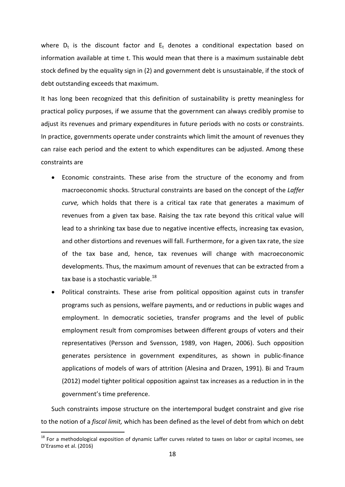where  $D_t$  is the discount factor and  $E_t$  denotes a conditional expectation based on information available at time t. This would mean that there is a maximum sustainable debt stock defined by the equality sign in (2) and government debt is unsustainable, if the stock of debt outstanding exceeds that maximum.

It has long been recognized that this definition of sustainability is pretty meaningless for practical policy purposes, if we assume that the government can always credibly promise to adjust its revenues and primary expenditures in future periods with no costs or constraints. In practice, governments operate under constraints which limit the amount of revenues they can raise each period and the extent to which expenditures can be adjusted. Among these constraints are

- Economic constraints. These arise from the structure of the economy and from macroeconomic shocks. Structural constraints are based on the concept of the *Laffer curve,* which holds that there is a critical tax rate that generates a maximum of revenues from a given tax base. Raising the tax rate beyond this critical value will lead to a shrinking tax base due to negative incentive effects, increasing tax evasion, and other distortions and revenues will fall. Furthermore, for a given tax rate, the size of the tax base and, hence, tax revenues will change with macroeconomic developments. Thus, the maximum amount of revenues that can be extracted from a tax base is a stochastic variable.<sup>[18](#page-19-0)</sup>
- Political constraints. These arise from political opposition against cuts in transfer programs such as pensions, welfare payments, and or reductions in public wages and employment. In democratic societies, transfer programs and the level of public employment result from compromises between different groups of voters and their representatives (Persson and Svensson, 1989, von Hagen, 2006). Such opposition generates persistence in government expenditures, as shown in public-finance applications of models of wars of attrition (Alesina and Drazen, 1991). Bi and Traum (2012) model tighter political opposition against tax increases as a reduction in in the government's time preference.

Such constraints impose structure on the intertemporal budget constraint and give rise to the notion of a *fiscal limit,* which has been defined as the level of debt from which on debt

<span id="page-19-0"></span><sup>&</sup>lt;sup>18</sup> For a methodological exposition of dynamic Laffer curves related to taxes on labor or capital incomes, see D'Erasmo et al. (2016)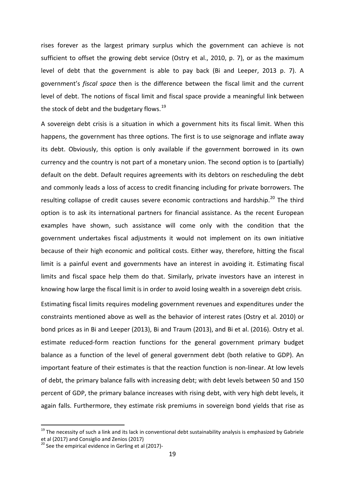rises forever as the largest primary surplus which the government can achieve is not sufficient to offset the growing debt service (Ostry et al., 2010, p. 7), or as the maximum level of debt that the government is able to pay back (Bi and Leeper, 2013 p. 7). A government's *fiscal space* then is the difference between the fiscal limit and the current level of debt. The notions of fiscal limit and fiscal space provide a meaningful link between the stock of debt and the budgetary flows. $19$ 

A sovereign debt crisis is a situation in which a government hits its fiscal limit. When this happens, the government has three options. The first is to use seignorage and inflate away its debt. Obviously, this option is only available if the government borrowed in its own currency and the country is not part of a monetary union. The second option is to (partially) default on the debt. Default requires agreements with its debtors on rescheduling the debt and commonly leads a loss of access to credit financing including for private borrowers. The resulting collapse of credit causes severe economic contractions and hardship.<sup>[20](#page-20-1)</sup> The third option is to ask its international partners for financial assistance. As the recent European examples have shown, such assistance will come only with the condition that the government undertakes fiscal adjustments it would not implement on its own initiative because of their high economic and political costs. Either way, therefore, hitting the fiscal limit is a painful event and governments have an interest in avoiding it. Estimating fiscal limits and fiscal space help them do that. Similarly, private investors have an interest in knowing how large the fiscal limit is in order to avoid losing wealth in a sovereign debt crisis.

Estimating fiscal limits requires modeling government revenues and expenditures under the constraints mentioned above as well as the behavior of interest rates (Ostry et al. 2010) or bond prices as in Bi and Leeper (2013), Bi and Traum (2013), and Bi et al. (2016). Ostry et al. estimate reduced-form reaction functions for the general government primary budget balance as a function of the level of general government debt (both relative to GDP). An important feature of their estimates is that the reaction function is non-linear. At low levels of debt, the primary balance falls with increasing debt; with debt levels between 50 and 150 percent of GDP, the primary balance increases with rising debt, with very high debt levels, it again falls. Furthermore, they estimate risk premiums in sovereign bond yields that rise as

<span id="page-20-0"></span><sup>&</sup>lt;sup>19</sup> The necessity of such a link and its lack in conventional debt sustainability analysis is emphasized by Gabriele et al (2017) and Consiglio and Zenios (2017)<br><sup>20</sup> See the empirical evidence in Gerling et al (2017)-

<span id="page-20-1"></span>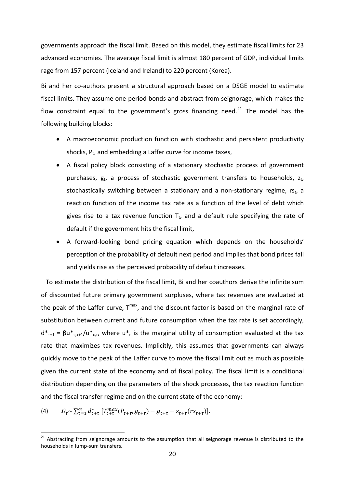governments approach the fiscal limit. Based on this model, they estimate fiscal limits for 23 advanced economies. The average fiscal limit is almost 180 percent of GDP, individual limits rage from 157 percent (Iceland and Ireland) to 220 percent (Korea).

Bi and her co-authors present a structural approach based on a DSGE model to estimate fiscal limits. They assume one-period bonds and abstract from seignorage, which makes the flow constraint equal to the government's gross financing need.<sup>[21](#page-21-0)</sup> The model has the following building blocks:

- A macroeconomic production function with stochastic and persistent productivity shocks,  $P_t$ , and embedding a Laffer curve for income taxes,
- A fiscal policy block consisting of a stationary stochastic process of government purchases,  $g_t$ , a process of stochastic government transfers to households,  $z_t$ , stochastically switching between a stationary and a non-stationary regime,  $rs_t$ , a reaction function of the income tax rate as a function of the level of debt which gives rise to a tax revenue function  $T_t$ , and a default rule specifying the rate of default if the government hits the fiscal limit,
- A forward-looking bond pricing equation which depends on the households' perception of the probability of default next period and implies that bond prices fall and yields rise as the perceived probability of default increases.

 To estimate the distribution of the fiscal limit, Bi and her coauthors derive the infinite sum of discounted future primary government surpluses, where tax revenues are evaluated at the peak of the Laffer curve,  $T^{max}$ , and the discount factor is based on the marginal rate of substitution between current and future consumption when the tax rate is set accordingly,  $d_{\tau+1}^* = \beta u_{c,T+1}^*/u_{c,T}^*$ , where  $u_{c}^*$  is the marginal utility of consumption evaluated at the tax rate that maximizes tax revenues. Implicitly, this assumes that governments can always quickly move to the peak of the Laffer curve to move the fiscal limit out as much as possible given the current state of the economy and of fiscal policy. The fiscal limit is a conditional distribution depending on the parameters of the shock processes, the tax reaction function and the fiscal transfer regime and on the current state of the economy:

(4) 
$$
\Omega_t \sim \sum_{\tau=1}^{\infty} d_{t+\tau}^* \left[ T_{t+\tau}^{max}(P_{t+\tau}, g_{t+\tau}) - g_{t+\tau} - z_{t+\tau}(rs_{t+\tau}) \right].
$$

<span id="page-21-0"></span><sup>&</sup>lt;sup>21</sup> Abstracting from seignorage amounts to the assumption that all seignorage revenue is distributed to the households in lump-sum transfers.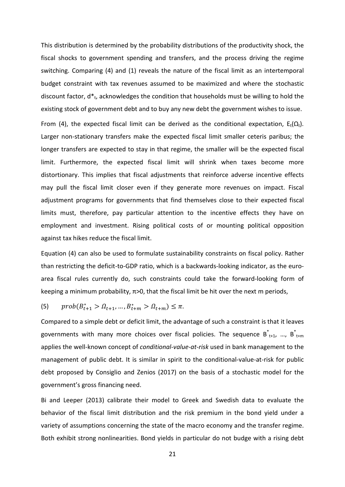This distribution is determined by the probability distributions of the productivity shock, the fiscal shocks to government spending and transfers, and the process driving the regime switching. Comparing (4) and (1) reveals the nature of the fiscal limit as an intertemporal budget constraint with tax revenues assumed to be maximized and where the stochastic discount factor,  $d_{t}$ , acknowledges the condition that households must be willing to hold the existing stock of government debt and to buy any new debt the government wishes to issue.

From (4), the expected fiscal limit can be derived as the conditional expectation,  $E_t(\Omega_t)$ . Larger non-stationary transfers make the expected fiscal limit smaller ceteris paribus; the longer transfers are expected to stay in that regime, the smaller will be the expected fiscal limit. Furthermore, the expected fiscal limit will shrink when taxes become more distortionary. This implies that fiscal adjustments that reinforce adverse incentive effects may pull the fiscal limit closer even if they generate more revenues on impact. Fiscal adjustment programs for governments that find themselves close to their expected fiscal limits must, therefore, pay particular attention to the incentive effects they have on employment and investment. Rising political costs of or mounting political opposition against tax hikes reduce the fiscal limit.

Equation (4) can also be used to formulate sustainability constraints on fiscal policy. Rather than restricting the deficit-to-GDP ratio, which is a backwards-looking indicator, as the euroarea fiscal rules currently do, such constraints could take the forward-looking form of keeping a minimum probability,  $\pi$ >0, that the fiscal limit be hit over the next m periods,

(5) 
$$
prob(B_{t+1}^* > \Omega_{t+1}, ..., B_{t+m}^* > \Omega_{t+m}) \leq \pi.
$$

Compared to a simple debt or deficit limit, the advantage of such a constraint is that it leaves governments with many more choices over fiscal policies. The sequence  $B_{t+1}$ , ...,  $B_{t+m}$ applies the well-known concept of *conditional*-*value-at-risk* used in bank management to the management of public debt. It is similar in spirit to the conditional-value-at-risk for public debt proposed by Consiglio and Zenios (2017) on the basis of a stochastic model for the government's gross financing need.

Bi and Leeper (2013) calibrate their model to Greek and Swedish data to evaluate the behavior of the fiscal limit distribution and the risk premium in the bond yield under a variety of assumptions concerning the state of the macro economy and the transfer regime. Both exhibit strong nonlinearities. Bond yields in particular do not budge with a rising debt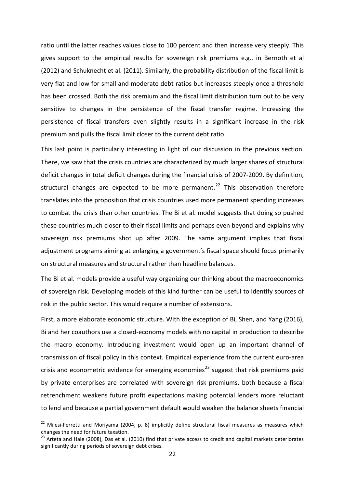ratio until the latter reaches values close to 100 percent and then increase very steeply. This gives support to the empirical results for sovereign risk premiums e.g., in Bernoth et al (2012) and Schuknecht et al. (2011). Similarly, the probability distribution of the fiscal limit is very flat and low for small and moderate debt ratios but increases steeply once a threshold has been crossed. Both the risk premium and the fiscal limit distribution turn out to be very sensitive to changes in the persistence of the fiscal transfer regime. Increasing the persistence of fiscal transfers even slightly results in a significant increase in the risk premium and pulls the fiscal limit closer to the current debt ratio.

This last point is particularly interesting in light of our discussion in the previous section. There, we saw that the crisis countries are characterized by much larger shares of structural deficit changes in total deficit changes during the financial crisis of 2007-2009. By definition, structural changes are expected to be more permanent.<sup>[22](#page-23-0)</sup> This observation therefore translates into the proposition that crisis countries used more permanent spending increases to combat the crisis than other countries. The Bi et al. model suggests that doing so pushed these countries much closer to their fiscal limits and perhaps even beyond and explains why sovereign risk premiums shot up after 2009. The same argument implies that fiscal adjustment programs aiming at enlarging a government's fiscal space should focus primarily on structural measures and structural rather than headline balances.

The Bi et al. models provide a useful way organizing our thinking about the macroeconomics of sovereign risk. Developing models of this kind further can be useful to identify sources of risk in the public sector. This would require a number of extensions.

First, a more elaborate economic structure. With the exception of Bi, Shen, and Yang (2016), Bi and her coauthors use a closed-economy models with no capital in production to describe the macro economy. Introducing investment would open up an important channel of transmission of fiscal policy in this context. Empirical experience from the current euro-area crisis and econometric evidence for emerging economies<sup>[23](#page-23-1)</sup> suggest that risk premiums paid by private enterprises are correlated with sovereign risk premiums, both because a fiscal retrenchment weakens future profit expectations making potential lenders more reluctant to lend and because a partial government default would weaken the balance sheets financial

<span id="page-23-0"></span> $22$  Milesi-Ferretti and Moriyama (2004, p. 8) implicitly define structural fiscal measures as measures which changes the need for future taxation.

<span id="page-23-1"></span> $^{23}$  Arteta and Hale (2008), Das et al. (2010) find that private access to credit and capital markets deteriorates significantly during periods of sovereign debt crises.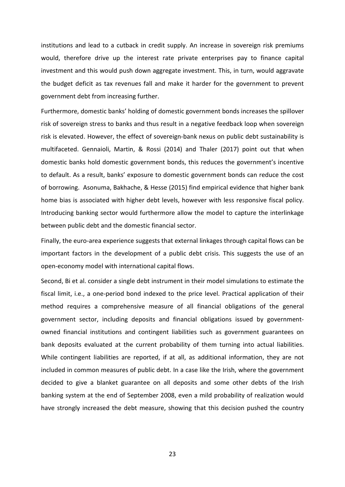institutions and lead to a cutback in credit supply. An increase in sovereign risk premiums would, therefore drive up the interest rate private enterprises pay to finance capital investment and this would push down aggregate investment. This, in turn, would aggravate the budget deficit as tax revenues fall and make it harder for the government to prevent government debt from increasing further.

Furthermore, domestic banks' holding of domestic government bonds increases the spillover risk of sovereign stress to banks and thus result in a negative feedback loop when sovereign risk is elevated. However, the effect of sovereign-bank nexus on public debt sustainability is multifaceted. Gennaioli, Martin, & Rossi (2014) and Thaler (2017) point out that when domestic banks hold domestic government bonds, this reduces the government's incentive to default. As a result, banks' exposure to domestic government bonds can reduce the cost of borrowing. Asonuma, Bakhache, & Hesse (2015) find empirical evidence that higher bank home bias is associated with higher debt levels, however with less responsive fiscal policy. Introducing banking sector would furthermore allow the model to capture the interlinkage between public debt and the domestic financial sector.

Finally, the euro-area experience suggests that external linkages through capital flows can be important factors in the development of a public debt crisis. This suggests the use of an open-economy model with international capital flows.

Second, Bi et al. consider a single debt instrument in their model simulations to estimate the fiscal limit, i.e., a one-period bond indexed to the price level. Practical application of their method requires a comprehensive measure of all financial obligations of the general government sector, including deposits and financial obligations issued by governmentowned financial institutions and contingent liabilities such as government guarantees on bank deposits evaluated at the current probability of them turning into actual liabilities. While contingent liabilities are reported, if at all, as additional information, they are not included in common measures of public debt. In a case like the Irish, where the government decided to give a blanket guarantee on all deposits and some other debts of the Irish banking system at the end of September 2008, even a mild probability of realization would have strongly increased the debt measure, showing that this decision pushed the country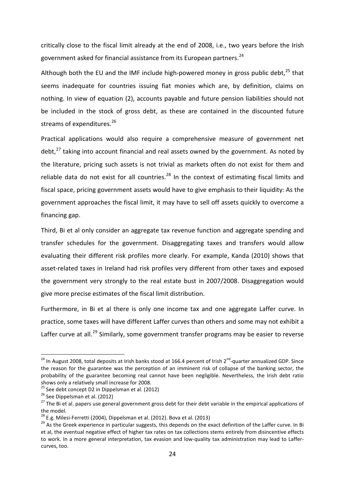critically close to the fiscal limit already at the end of 2008, i.e., two years before the Irish government asked for financial assistance from its European partners.<sup>[24](#page-25-0)</sup>

Although both the EU and the IMF include high-powered money in gross public debt, $^{25}$  $^{25}$  $^{25}$  that seems inadequate for countries issuing fiat monies which are, by definition, claims on nothing. In view of equation (2), accounts payable and future pension liabilities should not be included in the stock of gross debt, as these are contained in the discounted future streams of expenditures.<sup>[26](#page-25-2)</sup>

Practical applications would also require a comprehensive measure of government net debt, $^{27}$  $^{27}$  $^{27}$  taking into account financial and real assets owned by the government. As noted by the literature, pricing such assets is not trivial as markets often do not exist for them and reliable data do not exist for all countries.<sup>[28](#page-25-4)</sup> In the context of estimating fiscal limits and fiscal space, pricing government assets would have to give emphasis to their liquidity: As the government approaches the fiscal limit, it may have to sell off assets quickly to overcome a financing gap.

Third, Bi et al only consider an aggregate tax revenue function and aggregate spending and transfer schedules for the government. Disaggregating taxes and transfers would allow evaluating their different risk profiles more clearly. For example, Kanda (2010) shows that asset-related taxes in Ireland had risk profiles very different from other taxes and exposed the government very strongly to the real estate bust in 2007/2008. Disaggregation would give more precise estimates of the fiscal limit distribution.

Furthermore, in Bi et al there is only one income tax and one aggregate Laffer curve. In practice, some taxes will have different Laffer curves than others and some may not exhibit a Laffer curve at all.<sup>[29](#page-25-5)</sup> Similarly, some government transfer programs may be easier to reverse

<span id="page-25-0"></span> $24$  In August 2008, total deposits at Irish banks stood at 166.4 percent of Irish  $2^{nd}$ -quarter annualized GDP. Since the reason for the guarantee was the perception of an imminent risk of collapse of the banking sector, the probability of the guarantee becoming real cannot have been negligible. Nevertheless, the Irish debt ratio shows only a relatively small increase for 2008.<br>
<sup>25</sup> See debt concept D2 in Dippelsman et al. (2012)

<span id="page-25-1"></span>

<span id="page-25-3"></span>

<span id="page-25-2"></span><sup>&</sup>lt;sup>26</sup> See Dippelsman et al. (2012)<br><sup>26</sup> See Dippelsman et al. (2012) 2014) 2014 2014 2015 2016 10 their debt variable in the empirical applications of the model.<br> $^{28}$  E.g. Milesi-Ferretti (2004), Dippelsman et al. (2012). Bova et al. (2013)

<span id="page-25-4"></span>

<span id="page-25-5"></span><sup>&</sup>lt;sup>29</sup> As the Greek experience in particular suggests, this depends on the exact definition of the Laffer curve. In Bi et al, the eventual negative effect of higher tax rates on tax collections stems entirely from disincentive effects to work. In a more general interpretation, tax evasion and low-quality tax administration may lead to Laffercurves, too.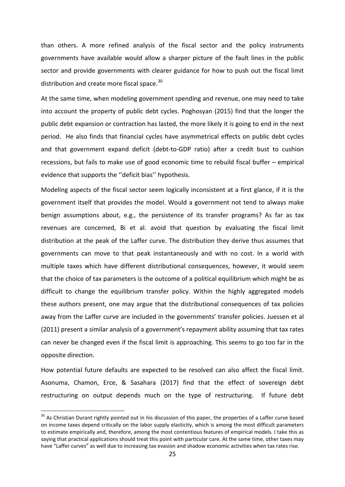than others. A more refined analysis of the fiscal sector and the policy instruments governments have available would allow a sharper picture of the fault lines in the public sector and provide governments with clearer guidance for how to push out the fiscal limit distribution and create more fiscal space.<sup>[30](#page-26-0)</sup>

At the same time, when modeling government spending and revenue, one may need to take into account the property of public debt cycles. Poghosyan (2015) find that the longer the public debt expansion or contraction has lasted, the more likely it is going to end in the next period. He also finds that financial cycles have asymmetrical effects on public debt cycles and that government expand deficit (debt-to-GDP ratio) after a credit bust to cushion recessions, but fails to make use of good economic time to rebuild fiscal buffer – empirical evidence that supports the ''deficit bias'' hypothesis.

Modeling aspects of the fiscal sector seem logically inconsistent at a first glance, if it is the government itself that provides the model. Would a government not tend to always make benign assumptions about, e.g., the persistence of its transfer programs? As far as tax revenues are concerned, Bi et al. avoid that question by evaluating the fiscal limit distribution at the peak of the Laffer curve. The distribution they derive thus assumes that governments can move to that peak instantaneously and with no cost. In a world with multiple taxes which have different distributional consequences, however, it would seem that the choice of tax parameters is the outcome of a political equilibrium which might be as difficult to change the equilibrium transfer policy. Within the highly aggregated models these authors present, one may argue that the distributional consequences of tax policies away from the Laffer curve are included in the governments' transfer policies. Juessen et al (2011) present a similar analysis of a government's repayment ability assuming that tax rates can never be changed even if the fiscal limit is approaching. This seems to go too far in the opposite direction.

How potential future defaults are expected to be resolved can also affect the fiscal limit. Asonuma, Chamon, Erce, & Sasahara (2017) find that the effect of sovereign debt restructuring on output depends much on the type of restructuring. If future debt

<span id="page-26-0"></span> $30$  As Christian Durant rightly pointed out in his discussion of this paper, the properties of a Laffer curve based on income taxes depend critically on the labor supply elasticity, which is among the most difficult parameters to estimate empirically and, therefore, among the most contentious features of empirical models. I take this as saying that practical applications should treat this point with particular care. At the same time, other taxes may have "Laffer curves" as well due to increasing tax evasion and shadow economic activities when tax rates rise.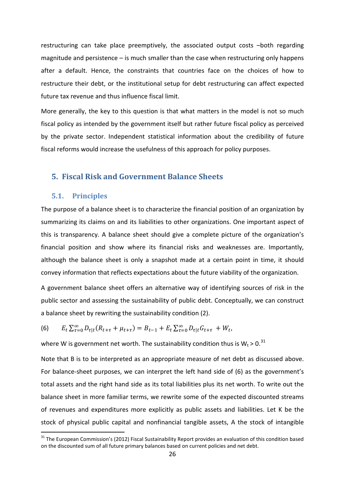restructuring can take place preemptively, the associated output costs –both regarding magnitude and persistence – is much smaller than the case when restructuring only happens after a default. Hence, the constraints that countries face on the choices of how to restructure their debt, or the institutional setup for debt restructuring can affect expected future tax revenue and thus influence fiscal limit.

More generally, the key to this question is that what matters in the model is not so much fiscal policy as intended by the government itself but rather future fiscal policy as perceived by the private sector. Independent statistical information about the credibility of future fiscal reforms would increase the usefulness of this approach for policy purposes.

## **5. Fiscal Risk and Government Balance Sheets**

#### **5.1. Principles**

The purpose of a balance sheet is to characterize the financial position of an organization by summarizing its claims on and its liabilities to other organizations. One important aspect of this is transparency. A balance sheet should give a complete picture of the organization's financial position and show where its financial risks and weaknesses are. Importantly, although the balance sheet is only a snapshot made at a certain point in time, it should convey information that reflects expectations about the future viability of the organization.

A government balance sheet offers an alternative way of identifying sources of risk in the public sector and assessing the sustainability of public debt. Conceptually, we can construct a balance sheet by rewriting the sustainability condition (2).

(6) 
$$
E_t \sum_{\tau=0}^{\infty} D_{\tau|t} (R_{t+\tau} + \mu_{t+\tau}) = B_{t-1} + E_t \sum_{\tau=0}^{\infty} D_{\tau|t} G_{t+\tau} + W_t,
$$

where W is government net worth. The sustainability condition thus is  $W_t > 0$ .<sup>[31](#page-27-0)</sup>

Note that B is to be interpreted as an appropriate measure of net debt as discussed above. For balance-sheet purposes, we can interpret the left hand side of (6) as the government's total assets and the right hand side as its total liabilities plus its net worth. To write out the balance sheet in more familiar terms, we rewrite some of the expected discounted streams of revenues and expenditures more explicitly as public assets and liabilities. Let K be the stock of physical public capital and nonfinancial tangible assets, A the stock of intangible

<span id="page-27-0"></span><sup>&</sup>lt;sup>31</sup> The European Commission's (2012) Fiscal Sustainability Report provides an evaluation of this condition based on the discounted sum of all future primary balances based on current policies and net debt.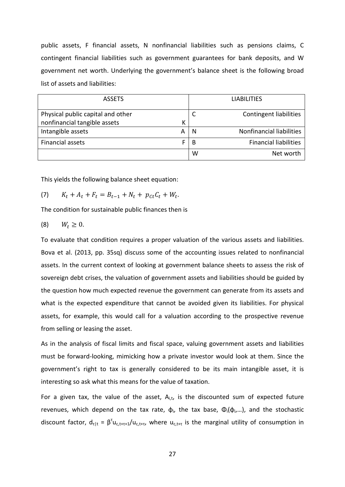public assets, F financial assets, N nonfinancial liabilities such as pensions claims, C contingent financial liabilities such as government guarantees for bank deposits, and W government net worth. Underlying the government's balance sheet is the following broad list of assets and liabilities:

| <b>ASSETS</b>                                                     |   |   | <b>LIABILITIES</b>            |
|-------------------------------------------------------------------|---|---|-------------------------------|
| Physical public capital and other<br>nonfinancial tangible assets | К |   | <b>Contingent liabilities</b> |
| Intangible assets                                                 | А | N | Nonfinancial liabilities      |
| <b>Financial assets</b>                                           |   | B | <b>Financial liabilities</b>  |
|                                                                   |   | W | Net worth                     |

This yields the following balance sheet equation:

(7) 
$$
K_t + A_t + F_t = B_{t-1} + N_t + p_{Ct}C_t + W_t.
$$

The condition for sustainable public finances then is

$$
(8) \qquad W_t \geq 0.
$$

To evaluate that condition requires a proper valuation of the various assets and liabilities. Bova et al. (2013, pp. 35sq) discuss some of the accounting issues related to nonfinancial assets. In the current context of looking at government balance sheets to assess the risk of sovereign debt crises, the valuation of government assets and liabilities should be guided by the question how much expected revenue the government can generate from its assets and what is the expected expenditure that cannot be avoided given its liabilities. For physical assets, for example, this would call for a valuation according to the prospective revenue from selling or leasing the asset.

As in the analysis of fiscal limits and fiscal space, valuing government assets and liabilities must be forward-looking, mimicking how a private investor would look at them. Since the government's right to tax is generally considered to be its main intangible asset, it is interesting so ask what this means for the value of taxation.

For a given tax, the value of the asset,  $A_{i,t}$ , is the discounted sum of expected future revenues, which depend on the tax rate,  $φ<sub>i</sub>$ , the tax base,  $Φ<sub>i</sub>(φ<sub>i</sub>,...)$ , and the stochastic discount factor,  $d_{\tau}|t = \beta^{\tau} u_{c,t+\tau+1}/u_{c,t+\tau}$ , where  $u_{c,t+\tau}$  is the marginal utility of consumption in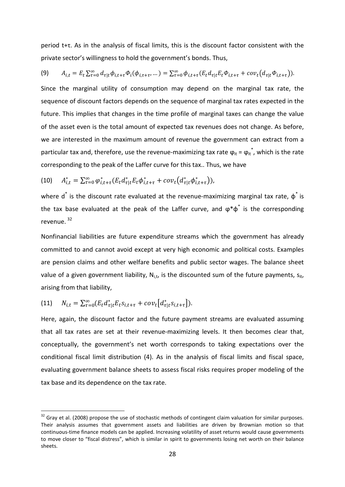period t+τ. As in the analysis of fiscal limits, this is the discount factor consistent with the private sector's willingness to hold the government's bonds. Thus,

$$
(9) \qquad A_{i,t} = E_t \sum_{\tau=0}^{\infty} d_{\tau|t} \phi_{i,t+\tau} \phi_i(\phi_{i,\tau+\tau},\dots) = \sum_{\tau=0}^{\infty} \phi_{i,t+\tau} (E_t d_{\tau|t} E_t \phi_{i,t+\tau} + cov_t (d_{\tau|t} \phi_{i,t+\tau})).
$$

Since the marginal utility of consumption may depend on the marginal tax rate, the sequence of discount factors depends on the sequence of marginal tax rates expected in the future. This implies that changes in the time profile of marginal taxes can change the value of the asset even is the total amount of expected tax revenues does not change. As before, we are interested in the maximum amount of revenue the government can extract from a particular tax and, therefore, use the revenue-maximizing tax rate  $\varphi_{it}$  =  $\varphi_{it}^*$ , which is the rate corresponding to the peak of the Laffer curve for this tax.. Thus, we have

(10) 
$$
A_{i,t}^* = \sum_{\tau=0}^{\infty} \varphi_{i,t+\tau}^*(E_t d_{\tau|t}^* E_t \varphi_{i,t+\tau}^* + cov_t (d_{\tau|t}^* \varphi_{i,t+\tau}^*)),
$$

where  $d^*$  is the discount rate evaluated at the revenue-maximizing marginal tax rate,  $\phi^*$  is the tax base evaluated at the peak of the Laffer curve, and  $\varphi^*\varphi^*$  is the corresponding revenue. [32](#page-29-0)

Nonfinancial liabilities are future expenditure streams which the government has already committed to and cannot avoid except at very high economic and political costs. Examples are pension claims and other welfare benefits and public sector wages. The balance sheet value of a given government liability,  $N_{i,t}$ , is the discounted sum of the future payments,  $s_{it}$ , arising from that liability,

$$
(11) \qquad N_{i,t} = \sum_{\tau=0}^{\infty} (E_t d_{\tau|t}^* E_t s_{i,t+\tau} + cov_t [d_{\tau|t}^* s_{i,t+\tau}]).
$$

Here, again, the discount factor and the future payment streams are evaluated assuming that all tax rates are set at their revenue-maximizing levels. It then becomes clear that, conceptually, the government's net worth corresponds to taking expectations over the conditional fiscal limit distribution (4). As in the analysis of fiscal limits and fiscal space, evaluating government balance sheets to assess fiscal risks requires proper modeling of the tax base and its dependence on the tax rate.

<span id="page-29-0"></span> $32$  Gray et al. (2008) propose the use of stochastic methods of contingent claim valuation for similar purposes. Their analysis assumes that government assets and liabilities are driven by Brownian motion so that continuous-time finance models can be applied. Increasing volatility of asset returns would cause governments to move closer to "fiscal distress", which is similar in spirit to governments losing net worth on their balance sheets.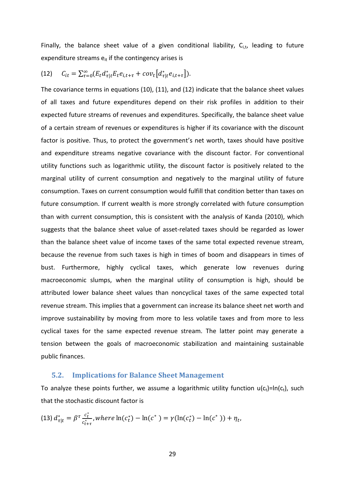Finally, the balance sheet value of a given conditional liability,  $C_{i,t}$ , leading to future expenditure streams  $e_{it}$  if the contingency arises is

$$
(12) \tC_{it} = \sum_{\tau=0}^{\infty} (E_t d_{\tau|t}^* E_t e_{i,t+\tau} + cov_t [d_{\tau|t}^* e_{i,t+\tau}]).
$$

The covariance terms in equations (10), (11), and (12) indicate that the balance sheet values of all taxes and future expenditures depend on their risk profiles in addition to their expected future streams of revenues and expenditures. Specifically, the balance sheet value of a certain stream of revenues or expenditures is higher if its covariance with the discount factor is positive. Thus, to protect the government's net worth, taxes should have positive and expenditure streams negative covariance with the discount factor. For conventional utility functions such as logarithmic utility, the discount factor is positively related to the marginal utility of current consumption and negatively to the marginal utility of future consumption. Taxes on current consumption would fulfill that condition better than taxes on future consumption. If current wealth is more strongly correlated with future consumption than with current consumption, this is consistent with the analysis of Kanda (2010), which suggests that the balance sheet value of asset-related taxes should be regarded as lower than the balance sheet value of income taxes of the same total expected revenue stream, because the revenue from such taxes is high in times of boom and disappears in times of bust. Furthermore, highly cyclical taxes, which generate low revenues during macroeconomic slumps, when the marginal utility of consumption is high, should be attributed lower balance sheet values than noncyclical taxes of the same expected total revenue stream. This implies that a government can increase its balance sheet net worth and improve sustainability by moving from more to less volatile taxes and from more to less cyclical taxes for the same expected revenue stream. The latter point may generate a tension between the goals of macroeconomic stabilization and maintaining sustainable public finances.

#### **5.2. Implications for Balance Sheet Management**

To analyze these points further, we assume a logarithmic utility function  $u(c_t)=ln(c_t)$ , such that the stochastic discount factor is

(13) 
$$
d_{\tau|t}^* = \beta^{\tau} \frac{c_t^*}{c_{t+\tau}^*}
$$
, where  $\ln(c_t^*) - \ln(c^*) = \gamma(\ln(c_t^*) - \ln(c^*)) + \eta_t$ ,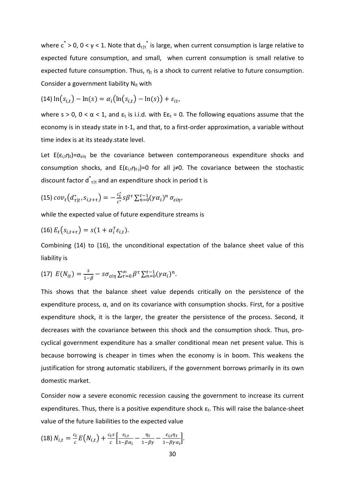where  $c^* > 0$ ,  $0 < \gamma < 1$ . Note that  $d_{\tau}|t^*$  is large, when current consumption is large relative to expected future consumption, and small, when current consumption is small relative to expected future consumption. Thus,  $n_t$  is a shock to current relative to future consumption. Consider a government liability  $N_{it}$  with

$$
(14)\ln(s_{i,t}) - \ln(s) = \alpha_i\bigl(\ln(s_{i,t}) - \ln(s)\bigr) + \varepsilon_{it},
$$

where s > 0, 0 <  $\alpha$  < 1, and  $\varepsilon_t$  is i.i.d. with E $\varepsilon_t$  = 0. The following equations assume that the economy is in steady state in t-1, and that, to a first-order approximation, a variable without time index is at its steady.state level.

Let  $E(\varepsilon_{i,t}n_t)=\sigma_{\varepsilon_{in}}$  be the covariance between contemporaneous expenditure shocks and consumption shocks, and  $E(\varepsilon_{i,t} \eta_{t-i})=0$  for all j≠0. The covariance between the stochastic discount factor  $d^{*}_{\tau}$ <sub>lt</sub> and an expenditure shock in period t is

(15) 
$$
cov_t(d_{\tau|t}^*, s_{i,t+\tau}) = -\frac{c_t^*}{c^*} s\beta^{\tau} \sum_{n=0}^{\tau-1} (\gamma \alpha_i)^n \sigma_{\varepsilon i\eta},
$$

while the expected value of future expenditure streams is

$$
(16) E_t(s_{i,t+\tau}) = s(1 + \alpha_i^{\tau} \varepsilon_{i,t}).
$$

Combining (14) to (16), the unconditional expectation of the balance sheet value of this liability is

(17) 
$$
E(N_{it}) = \frac{s}{1-\beta} - s\sigma_{\varepsilon i\eta} \sum_{\tau=0}^{\infty} \beta^{\tau} \sum_{n=0}^{\tau-1} (\gamma \alpha_i)^n.
$$

This shows that the balance sheet value depends critically on the persistence of the expenditure process,  $\alpha$ , and on its covariance with consumption shocks. First, for a positive expenditure shock, it is the larger, the greater the persistence of the process. Second, it decreases with the covariance between this shock and the consumption shock. Thus, procyclical government expenditure has a smaller conditional mean net present value. This is because borrowing is cheaper in times when the economy is in boom. This weakens the justification for strong automatic stabilizers, if the government borrows primarily in its own domestic market.

Consider now a severe economic recession causing the government to increase its current expenditures. Thus, there is a positive expenditure shock  $\varepsilon_t$ . This will raise the balance-sheet value of the future liabilities to the expected value

$$
(18) N_{i,t} = \frac{c_t}{c} E(N_{i,t}) + \frac{c_t s}{c} \left[ \frac{\varepsilon_{i,t}}{1 - \beta \alpha_i} - \frac{\eta_t}{1 - \beta \gamma} - \frac{\varepsilon_{i,t} \eta_t}{1 - \beta \gamma \alpha_i} \right].
$$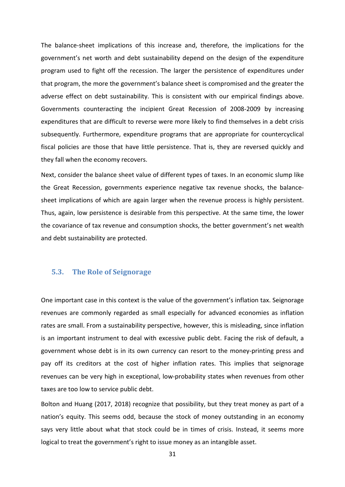The balance-sheet implications of this increase and, therefore, the implications for the government's net worth and debt sustainability depend on the design of the expenditure program used to fight off the recession. The larger the persistence of expenditures under that program, the more the government's balance sheet is compromised and the greater the adverse effect on debt sustainability. This is consistent with our empirical findings above. Governments counteracting the incipient Great Recession of 2008-2009 by increasing expenditures that are difficult to reverse were more likely to find themselves in a debt crisis subsequently. Furthermore, expenditure programs that are appropriate for countercyclical fiscal policies are those that have little persistence. That is, they are reversed quickly and they fall when the economy recovers.

Next, consider the balance sheet value of different types of taxes. In an economic slump like the Great Recession, governments experience negative tax revenue shocks, the balancesheet implications of which are again larger when the revenue process is highly persistent. Thus, again, low persistence is desirable from this perspective. At the same time, the lower the covariance of tax revenue and consumption shocks, the better government's net wealth and debt sustainability are protected.

#### **5.3. The Role of Seignorage**

One important case in this context is the value of the government's inflation tax. Seignorage revenues are commonly regarded as small especially for advanced economies as inflation rates are small. From a sustainability perspective, however, this is misleading, since inflation is an important instrument to deal with excessive public debt. Facing the risk of default, a government whose debt is in its own currency can resort to the money-printing press and pay off its creditors at the cost of higher inflation rates. This implies that seignorage revenues can be very high in exceptional, low-probability states when revenues from other taxes are too low to service public debt.

Bolton and Huang (2017, 2018) recognize that possibility, but they treat money as part of a nation's equity. This seems odd, because the stock of money outstanding in an economy says very little about what that stock could be in times of crisis. Instead, it seems more logical to treat the government's right to issue money as an intangible asset.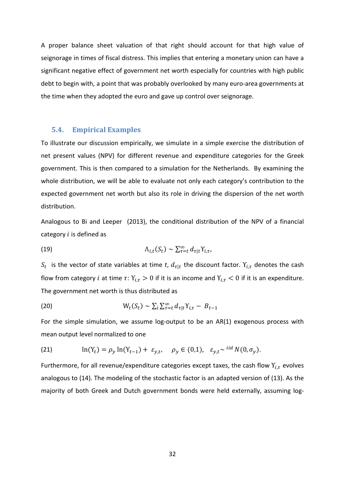A proper balance sheet valuation of that right should account for that high value of seignorage in times of fiscal distress. This implies that entering a monetary union can have a significant negative effect of government net worth especially for countries with high public debt to begin with, a point that was probably overlooked by many euro-area governments at the time when they adopted the euro and gave up control over seignorage.

### **5.4. Empirical Examples**

To illustrate our discussion empirically, we simulate in a simple exercise the distribution of net present values (NPV) for different revenue and expenditure categories for the Greek government. This is then compared to a simulation for the Netherlands. By examining the whole distribution, we will be able to evaluate not only each category's contribution to the expected government net worth but also its role in driving the dispersion of the net worth distribution.

Analogous to Bi and Leeper (2013), the conditional distribution of the NPV of a financial category  $i$  is defined as

(19) 
$$
\Lambda_{i,t}(S_t) \sim \sum_{\tau=t}^{\infty} d_{\tau|t} Y_{i,\tau},
$$

 $S_t$  is the vector of state variables at time *t*,  $d_{\tau|t}$  the discount factor.  $Y_{i,\tau}$  denotes the cash flow from category *i* at time  $\tau: Y_{i,\tau} > 0$  if it is an income and  $Y_{i,\tau} < 0$  if it is an expenditure. The government net worth is thus distributed as

(20) 
$$
W_t(S_t) \sim \sum_i \sum_{\tau=t}^{\infty} d_{\tau|t} Y_{i,\tau} - B_{t-1}
$$

For the simple simulation, we assume log-output to be an AR(1) exogenous process with mean output level normalized to one

(21) 
$$
\ln(Y_t) = \rho_y \ln(Y_{t-1}) + \varepsilon_{y,t}, \quad \rho_y \in (0,1), \quad \varepsilon_{y,t} \sim \frac{1}{d} N(0, \sigma_y).
$$

Furthermore, for all revenue/expenditure categories except taxes, the cash flow  $Y_{i,\tau}$  evolves analogous to (14). The modeling of the stochastic factor is an adapted version of (13). As the majority of both Greek and Dutch government bonds were held externally, assuming log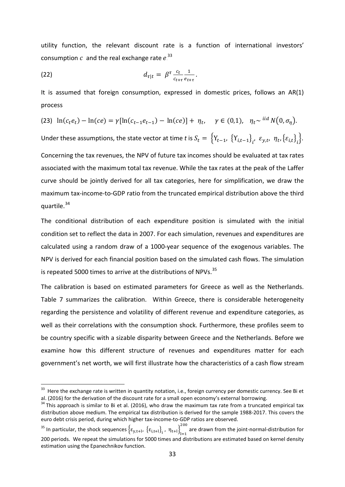utility function, the relevant discount rate is a function of international investors' consumption  $c$  and the real exchange rate  $e^{33}$ 

(22) 
$$
d_{\tau|t} = \beta^{\tau} \frac{c_t}{c_{t+\tau}} \frac{1}{e_{t+\tau}}.
$$

It is assumed that foreign consumption, expressed in domestic prices, follows an AR(1) process

(23) 
$$
\ln(c_t e_t) - \ln(ce) = \gamma[\ln(c_{t-1} e_{t-1}) - \ln(ce)] + \eta_t, \quad \gamma \in (0,1), \quad \eta_t \sim^{iid} N(0, \sigma_\eta).
$$

Under these assumptions, the state vector at time *t* is  $S_t = \{Y_{t-1}, \{Y_{i,t-1}\}_i, \varepsilon_{y,t}, \eta_t, \{\varepsilon_{i,t}\}_i\}.$ 

Concerning the tax revenues, the NPV of future tax incomes should be evaluated at tax rates associated with the maximum total tax revenue. While the tax rates at the peak of the Laffer curve should be jointly derived for all tax categories, here for simplification, we draw the maximum tax-income-to-GDP ratio from the truncated empirical distribution above the third quartile.<sup>34</sup>

The conditional distribution of each expenditure position is simulated with the initial condition set to reflect the data in 2007. For each simulation, revenues and expenditures are calculated using a random draw of a 1000-year sequence of the exogenous variables. The NPV is derived for each financial position based on the simulated cash flows. The simulation is repeated 5000 times to arrive at the distributions of NPVs.<sup>35</sup>

The calibration is based on estimated parameters for Greece as well as the Netherlands. [Table 7](#page-49-0) summarizes the calibration. Within Greece, there is considerable heterogeneity regarding the persistence and volatility of different revenue and expenditure categories, as well as their correlations with the consumption shock. Furthermore, these profiles seem to be country specific with a sizable disparity between Greece and the Netherlands. Before we examine how this different structure of revenues and expenditures matter for each government's net worth, we will first illustrate how the characteristics of a cash flow stream

<sup>&</sup>lt;sup>33</sup> Here the exchange rate is written in quantity notation, i.e., foreign currency per domestic currency. See Bi et al. (2016) for the derivation of the discount rate for a small open economy's external borrowing.

<span id="page-34-0"></span> $34$  This approach is similar to Bi et al. (2016), who draw the maximum tax rate from a truncated empirical tax distribution above medium. The empirical tax distribution is derived for the sample 1988-2017. This covers the euro debt crisis period, during which higher tax-income-to-GDP ratios are observed.

<span id="page-34-1"></span><sup>&</sup>lt;sup>35</sup> In particular, the shock sequences  $\{ \epsilon_{y,t+l}, \, \{ \epsilon_{i,t+l} \}_{i}$ ,  $\eta_{t+l} \}_{l=1}^{200}$ 200 are drawn from the joint-normal-distribution for 200 periods. We repeat the simulations for 5000 times and distributions are estimated based on kernel density estimation using the Epanechnikov function.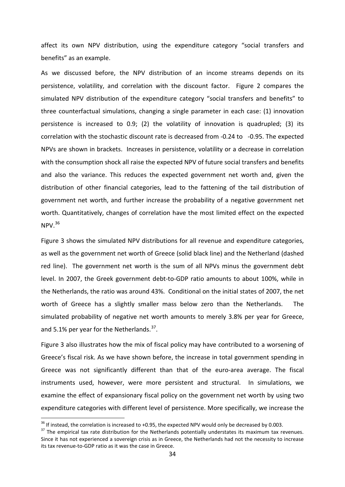affect its own NPV distribution, using the expenditure category "social transfers and benefits" as an example.

As we discussed before, the NPV distribution of an income streams depends on its persistence, volatility, and correlation with the discount factor. [Figure 2](#page-52-0) compares the simulated NPV distribution of the expenditure category "social transfers and benefits" to three counterfactual simulations, changing a single parameter in each case: (1) innovation persistence is increased to 0.9; (2) the volatility of innovation is quadrupled; (3) its correlation with the stochastic discount rate is decreased from -0.24 to -0.95. The expected NPVs are shown in brackets. Increases in persistence, volatility or a decrease in correlation with the consumption shock all raise the expected NPV of future social transfers and benefits and also the variance. This reduces the expected government net worth and, given the distribution of other financial categories, lead to the fattening of the tail distribution of government net worth, and further increase the probability of a negative government net worth. Quantitatively, changes of correlation have the most limited effect on the expected  $NPV.<sup>36</sup>$  $NPV.<sup>36</sup>$  $NPV.<sup>36</sup>$ 

[Figure 3](#page-52-1) shows the simulated NPV distributions for all revenue and expenditure categories, as well as the government net worth of Greece (solid black line) and the Netherland (dashed red line). The government net worth is the sum of all NPVs minus the government debt level. In 2007, the Greek government debt-to-GDP ratio amounts to about 100%, while in the Netherlands, the ratio was around 43%. Conditional on the initial states of 2007, the net worth of Greece has a slightly smaller mass below zero than the Netherlands. The simulated probability of negative net worth amounts to merely 3.8% per year for Greece, and 5.1% per year for the Netherlands.<sup>[37](#page-35-1)</sup>.

[Figure 3](#page-52-1) also illustrates how the mix of fiscal policy may have contributed to a worsening of Greece's fiscal risk. As we have shown before, the increase in total government spending in Greece was not significantly different than that of the euro-area average. The fiscal instruments used, however, were more persistent and structural. In simulations, we examine the effect of expansionary fiscal policy on the government net worth by using two expenditure categories with different level of persistence. More specifically, we increase the

<span id="page-35-1"></span><span id="page-35-0"></span>

<sup>&</sup>lt;sup>36</sup> If instead, the correlation is increased to +0.95, the expected NPV would only be decreased by 0.003.<br><sup>37</sup> The empirical tax rate distribution for the Netherlands potentially understates its maximum tax revenues. Since it has not experienced a sovereign crisis as in Greece, the Netherlands had not the necessity to increase its tax revenue-to-GDP ratio as it was the case in Greece.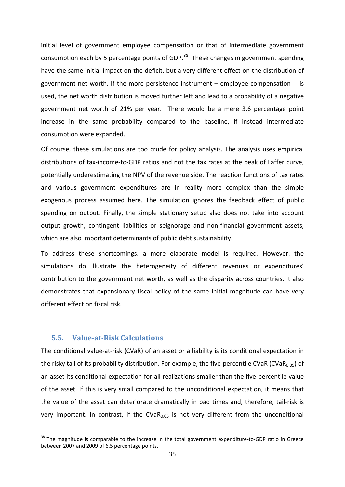initial level of government employee compensation or that of intermediate government consumption each by 5 percentage points of GDP. $^{38}$  $^{38}$  $^{38}$  These changes in government spending have the same initial impact on the deficit, but a very different effect on the distribution of government net worth. If the more persistence instrument – employee compensation -- is used, the net worth distribution is moved further left and lead to a probability of a negative government net worth of 21% per year. There would be a mere 3.6 percentage point increase in the same probability compared to the baseline, if instead intermediate consumption were expanded.

Of course, these simulations are too crude for policy analysis. The analysis uses empirical distributions of tax-income-to-GDP ratios and not the tax rates at the peak of Laffer curve, potentially underestimating the NPV of the revenue side. The reaction functions of tax rates and various government expenditures are in reality more complex than the simple exogenous process assumed here. The simulation ignores the feedback effect of public spending on output. Finally, the simple stationary setup also does not take into account output growth, contingent liabilities or seignorage and non-financial government assets, which are also important determinants of public debt sustainability.

To address these shortcomings, a more elaborate model is required. However, the simulations do illustrate the heterogeneity of different revenues or expenditures' contribution to the government net worth, as well as the disparity across countries. It also demonstrates that expansionary fiscal policy of the same initial magnitude can have very different effect on fiscal risk.

### **5.5. Value-at-Risk Calculations**

The conditional value-at-risk (CVaR) of an asset or a liability is its conditional expectation in the risky tail of its probability distribution. For example, the five-percentile CVaR (CVaR<sub>0.05</sub>) of an asset its conditional expectation for all realizations smaller than the five-percentile value of the asset. If this is very small compared to the unconditional expectation, it means that the value of the asset can deteriorate dramatically in bad times and, therefore, tail-risk is very important. In contrast, if the CVaR $_{0.05}$  is not very different from the unconditional

<span id="page-36-0"></span><sup>&</sup>lt;sup>38</sup> The magnitude is comparable to the increase in the total government expenditure-to-GDP ratio in Greece between 2007 and 2009 of 6.5 percentage points.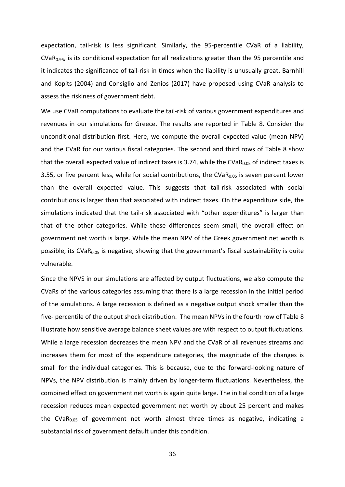expectation, tail-risk is less significant. Similarly, the 95-percentile CVaR of a liability,  $CVaR<sub>0.95</sub>$ , is its conditional expectation for all realizations greater than the 95 percentile and it indicates the significance of tail-risk in times when the liability is unusually great. Barnhill and Kopits (2004) and Consiglio and Zenios (2017) have proposed using CVaR analysis to assess the riskiness of government debt.

We use CVaR computations to evaluate the tail-risk of various government expenditures and revenues in our simulations for Greece. The results are reported in Table 8. Consider the unconditional distribution first. Here, we compute the overall expected value (mean NPV) and the CVaR for our various fiscal categories. The second and third rows of Table 8 show that the overall expected value of indirect taxes is 3.74, while the CVaR<sub>0.05</sub> of indirect taxes is 3.55, or five percent less, while for social contributions, the CVa $R<sub>0.05</sub>$  is seven percent lower than the overall expected value. This suggests that tail-risk associated with social contributions is larger than that associated with indirect taxes. On the expenditure side, the simulations indicated that the tail-risk associated with "other expenditures" is larger than that of the other categories. While these differences seem small, the overall effect on government net worth is large. While the mean NPV of the Greek government net worth is possible, its  $CVaR<sub>0.05</sub>$  is negative, showing that the government's fiscal sustainability is quite vulnerable.

Since the NPVS in our simulations are affected by output fluctuations, we also compute the CVaRs of the various categories assuming that there is a large recession in the initial period of the simulations. A large recession is defined as a negative output shock smaller than the five- percentile of the output shock distribution. The mean NPVs in the fourth row of Table 8 illustrate how sensitive average balance sheet values are with respect to output fluctuations. While a large recession decreases the mean NPV and the CVaR of all revenues streams and increases them for most of the expenditure categories, the magnitude of the changes is small for the individual categories. This is because, due to the forward-looking nature of NPVs, the NPV distribution is mainly driven by longer-term fluctuations. Nevertheless, the combined effect on government net worth is again quite large. The initial condition of a large recession reduces mean expected government net worth by about 25 percent and makes the CVaR $_{0.05}$  of government net worth almost three times as negative, indicating a substantial risk of government default under this condition.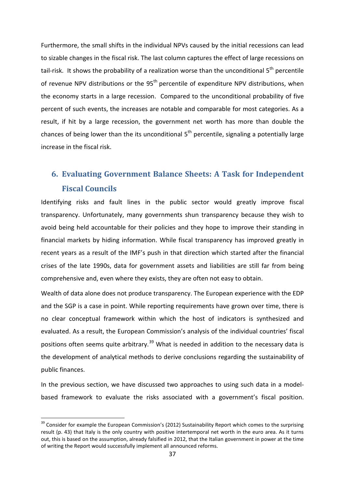Furthermore, the small shifts in the individual NPVs caused by the initial recessions can lead to sizable changes in the fiscal risk. The last column captures the effect of large recessions on tail-risk. It shows the probability of a realization worse than the unconditional 5<sup>th</sup> percentile of revenue NPV distributions or the 95<sup>th</sup> percentile of expenditure NPV distributions, when the economy starts in a large recession. Compared to the unconditional probability of five percent of such events, the increases are notable and comparable for most categories. As a result, if hit by a large recession, the government net worth has more than double the chances of being lower than the its unconditional  $5<sup>th</sup>$  percentile, signaling a potentially large increase in the fiscal risk.

## **6. Evaluating Government Balance Sheets: A Task for Independent Fiscal Councils**

Identifying risks and fault lines in the public sector would greatly improve fiscal transparency. Unfortunately, many governments shun transparency because they wish to avoid being held accountable for their policies and they hope to improve their standing in financial markets by hiding information. While fiscal transparency has improved greatly in recent years as a result of the IMF's push in that direction which started after the financial crises of the late 1990s, data for government assets and liabilities are still far from being comprehensive and, even where they exists, they are often not easy to obtain.

Wealth of data alone does not produce transparency. The European experience with the EDP and the SGP is a case in point. While reporting requirements have grown over time, there is no clear conceptual framework within which the host of indicators is synthesized and evaluated. As a result, the European Commission's analysis of the individual countries' fiscal positions often seems quite arbitrary.<sup>[39](#page-38-0)</sup> What is needed in addition to the necessary data is the development of analytical methods to derive conclusions regarding the sustainability of public finances.

In the previous section, we have discussed two approaches to using such data in a modelbased framework to evaluate the risks associated with a government's fiscal position.

<span id="page-38-0"></span><sup>&</sup>lt;sup>39</sup> Consider for example the European Commission's (2012) Sustainability Report which comes to the surprising result (p. 43) that Italy is the only country with positive intertemporal net worth in the euro area. As it turns out, this is based on the assumption, already falsified in 2012, that the Italian government in power at the time of writing the Report would successfully implement all announced reforms.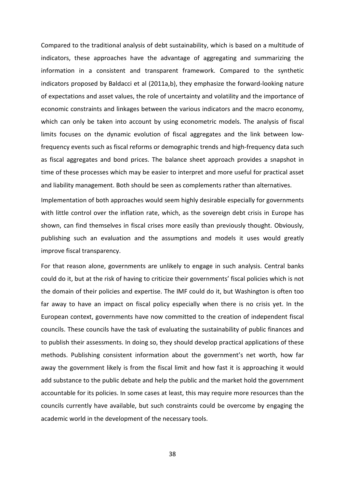Compared to the traditional analysis of debt sustainability, which is based on a multitude of indicators, these approaches have the advantage of aggregating and summarizing the information in a consistent and transparent framework. Compared to the synthetic indicators proposed by Baldacci et al (2011a,b), they emphasize the forward-looking nature of expectations and asset values, the role of uncertainty and volatility and the importance of economic constraints and linkages between the various indicators and the macro economy, which can only be taken into account by using econometric models. The analysis of fiscal limits focuses on the dynamic evolution of fiscal aggregates and the link between lowfrequency events such as fiscal reforms or demographic trends and high-frequency data such as fiscal aggregates and bond prices. The balance sheet approach provides a snapshot in time of these processes which may be easier to interpret and more useful for practical asset and liability management. Both should be seen as complements rather than alternatives.

Implementation of both approaches would seem highly desirable especially for governments with little control over the inflation rate, which, as the sovereign debt crisis in Europe has shown, can find themselves in fiscal crises more easily than previously thought. Obviously, publishing such an evaluation and the assumptions and models it uses would greatly improve fiscal transparency.

For that reason alone, governments are unlikely to engage in such analysis. Central banks could do it, but at the risk of having to criticize their governments' fiscal policies which is not the domain of their policies and expertise. The IMF could do it, but Washington is often too far away to have an impact on fiscal policy especially when there is no crisis yet. In the European context, governments have now committed to the creation of independent fiscal councils. These councils have the task of evaluating the sustainability of public finances and to publish their assessments. In doing so, they should develop practical applications of these methods. Publishing consistent information about the government's net worth, how far away the government likely is from the fiscal limit and how fast it is approaching it would add substance to the public debate and help the public and the market hold the government accountable for its policies. In some cases at least, this may require more resources than the councils currently have available, but such constraints could be overcome by engaging the academic world in the development of the necessary tools.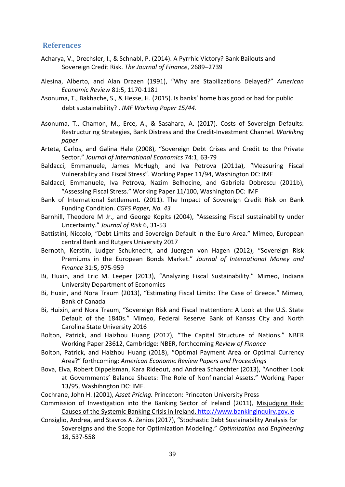## **References**

- Acharya, V., Drechsler, I., & Schnabl, P. (2014). A Pyrrhic Victory? Bank Bailouts and Sovereign Credit Risk. *The Journal of Finance*, 2689–2739
- Alesina, Alberto, and Alan Drazen (1991), "Why are Stabilizations Delayed?" *American Economic Review* 81:5, 1170-1181
- Asonuma, T., Bakhache, S., & Hesse, H. (2015). Is banks' home bias good or bad for public debt sustainability? . *IMF Working Paper 15/44*.
- Asonuma, T., Chamon, M., Erce, A., & Sasahara, A. (2017). Costs of Sovereign Defaults: Restructuring Strategies, Bank Distress and the Credit-Investment Channel. *Workikng paper*
- Arteta, Carlos, and Galina Hale (2008), "Sovereign Debt Crises and Credit to the Private Sector." *Journal of International Economics* 74:1, 63-79
- Baldacci, Emmanuele, James McHugh, and Iva Petrova (2011a), "Measuring Fiscal Vulnerability and Fiscal Stress". Working Paper 11/94, Washington DC: IMF
- Baldacci, Emmanuele, Iva Petrova, Nazim Belhocine, and Gabriela Dobrescu (2011b), "Assessing Fiscal Stress." Working Paper 11/100, Washington DC: IMF
- Bank of International Settlement. (2011). The Impact of Sovereign Credit Risk on Bank Funding Condition. *CGFS Paper, No. 43*
- Barnhill, Theodore M Jr., and George Kopits (2004), "Assessing Fiscal sustainability under Uncertainty." *Journal of Risk* 6, 31-53
- Battistini, Niccolo, "Debt Limits and Sovereign Default in the Euro Area." Mimeo, European central Bank and Rutgers University 2017
- Bernoth, Kerstin, Ludger Schuknecht, and Juergen von Hagen (2012), "Sovereign Risk Premiums in the European Bonds Market." *Journal of International Money and Finance* 31:5, 975-959
- Bi, Huxin, and Eric M. Leeper (2013), "Analyzing Fiscal Sustainability." Mimeo, Indiana University Department of Economics
- Bi, Huxin, and Nora Traum (2013), "Estimating Fiscal Limits: The Case of Greece." Mimeo, Bank of Canada
- Bi, Huixin, and Nora Traum, "Sovereign Risk and Fiscal Inattention: A Look at the U.S. State Default of the 1840s." Mimeo, Federal Reserve Bank of Kansas City and North Carolina State University 2016
- Bolton, Patrick, and Haizhou Huang (2017), "The Capital Structure of Nations." NBER Working Paper 23612, Cambridge: NBER, forthcoming *Review of Finance*
- Bolton, Patrick, and Haizhou Huang (2018), "Optimal Payment Area or Optimal Currency Area?" forthcoming: *American Economic Review Papers and Proceedings*
- Bova, Elva, Robert Dippelsman, Kara Rideout, and Andrea Schaechter (2013), "Another Look at Governments' Balance Sheets: The Role of Nonfinancial Assets." Working Paper 13/95, Washihngton DC: IMF.

Cochrane, John H. (2001), *Asset Pricing.* Princeton: Princeton University Press

Commission of Investigation into the Banking Sector of Ireland (2011), Misjudging Risk: Causes of the Systemic Banking Crisis in Ireland[. http://www.bankinginquiry.gov.ie](http://www.bankinginquiry.gov.ie/)

Consiglio, Andrea, and Stavros A. Zenios (2017), "Stochastic Debt Sustainability Analysis for Sovereigns and the Scope for Optimization Modeling." *Optimization and Engineering* 18, 537-558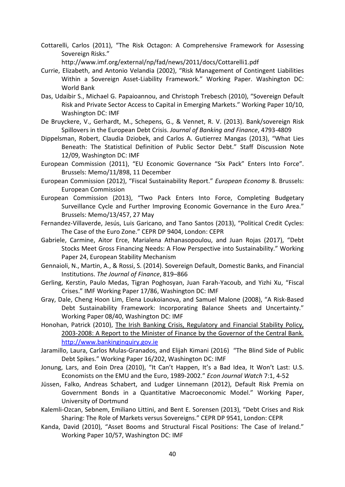- Cottarelli, Carlos (2011), "The Risk Octagon: A Comprehensive Framework for Assessing Sovereign Risks."
	- http://www.imf.org/external/np/fad/news/2011/docs/Cottarelli1.pdf
- Currie, Elizabeth, and Antonio Velandia (2002), "Risk Management of Contingent Liabilities Within a Sovereign Asset-Liability Framework." Working Paper. Washington DC: World Bank
- Das, Udaibir S., Michael G. Papaioannou, and Christoph Trebesch (2010), "Sovereign Default Risk and Private Sector Access to Capital in Emerging Markets." Working Paper 10/10, Washington DC: IMF
- De Bruyckere, V., Gerhardt, M., Schepens, G., & Vennet, R. V. (2013). Bank/sovereign Risk Spillovers in the European Debt Crisis. *Journal of Banking and Finance*, 4793-4809
- Dippelsman, Robert, Claudia Dziobek, and Carlos A. Gutierrez Mangas (2013), "What Lies Beneath: The Statistical Definition of Public Sector Debt." Staff Discussion Note 12/09, Washington DC: IMF
- European Commission (2011), "EU Economic Governance "Six Pack" Enters Into Force". Brussels: Memo/11/898, 11 December
- European Commission (2012), "Fiscal Sustainability Report." *European Economy* 8. Brussels: European Commission
- European Commission (2013), "Two Pack Enters Into Force, Completing Budgetary Surveillance Cycle and Further Improving Economic Governance in the Euro Area." Brussels: Memo/13/457, 27 May
- Fernandez-Villaverde, Jesús, Luis Garicano, and Tano Santos (2013), "Political Credit Cycles: The Case of the Euro Zone." CEPR DP 9404, London: CEPR
- Gabriele, Carmine, Aitor Erce, Marialena Athanasopoulou, and Juan Rojas (2017), "Debt Stocks Meet Gross Financing Needs: A Flow Perspective into Sustainability." Working Paper 24, European Stability Mechanism
- Gennaioli, N., Martin, A., & Rossi, S. (2014). Sovereign Default, Domestic Banks, and Financial Institutions. *The Journal of Finance*, 819–866
- Gerling, Kerstin, Paulo Medas, Tigran Poghosyan, Juan Farah-Yacoub, and Yizhi Xu, "Fiscal Crises." IMF Working Paper 17/86, Washington DC: IMF
- Gray, Dale, Cheng Hoon Lim, Elena Loukoianova, and Samuel Malone (2008), "A Risk-Based Debt Sustainability Framework: Incorporating Balance Sheets and Uncertainty." Working Paper 08/40, Washington DC: IMF
- Honohan, Patrick (2010), The Irish Banking Crisis, Regulatory and Financial Stability Policy, 2003-2008: A Report to the Minister of Finance by the Governor of the Central Bank. [http://www.bankinginquiry.gov.ie](http://www.bankinginquiry.gov.ie/)
- Jaramillo, Laura, Carlos Mulas-Granados, and Elijah Kimani (2016) "The Blind Side of Public Debt Spikes." Working Paper 16/202, Washington DC: IMF
- Jonung, Lars, and Eoin Drea (2010), "It Can't Happen, It's a Bad Idea, It Won't Last: U.S. Economists on the EMU and the Euro, 1989-2002." *Econ Journal Watch* 7:1, 4-52
- Jüssen, Falko, Andreas Schabert, and Ludger Linnemann (2012), Default Risk Premia on Government Bonds in a Quantitative Macroeconomic Model." Working Paper, University of Dortmund
- Kalemli-Ozcan, Sebnem, Emiliano Littini, and Bent E. Sorensen (2013), "Debt Crises and Risk Sharing: The Role of Markets versus Sovereigns." CEPR DP 9541, London: CEPR
- Kanda, David (2010), "Asset Booms and Structural Fiscal Positions: The Case of Ireland." Working Paper 10/57, Washington DC: IMF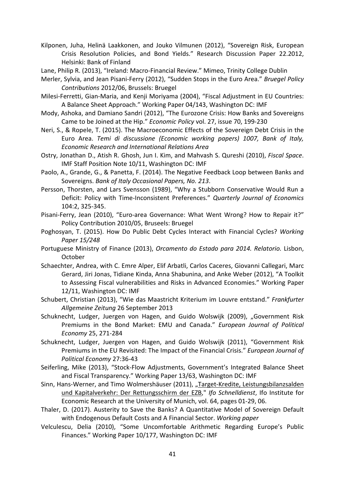- Kilponen, Juha, Helinä Laakkonen, and Jouko Vilmunen (2012), "Sovereign Risk, European Crisis Resolution Policies, and Bond Yields." Research Discussion Paper 22.2012, Helsinki: Bank of Finland
- Lane, Philip R. (2013), "Ireland: Macro-Financial Review." Mimeo, Trinity College Dublin
- Merler, Sylvia, and Jean Pisani-Ferry (2012), "Sudden Stops in the Euro Area." *Bruegel Policy Contributions* 2012/06, Brussels: Bruegel
- Milesi-Ferretti, Gian-Maria, and Kenji Moriyama (2004), "Fiscal Adjustment in EU Countries: A Balance Sheet Approach." Working Paper 04/143, Washington DC: IMF
- Mody, Ashoka, and Damiano Sandri (2012), "The Eurozone Crisis: How Banks and Sovereigns Came to be Joined at the Hip." *Economic Policy* vol. 27, issue 70, 199-230
- Neri, S., & Ropele, T. (2015). The Macroeconomic Effects of the Sovereign Debt Crisis in the Euro Area. *Temi di discussione (Economic working papers) 1007, Bank of Italy, Economic Research and International Relations Area*
- Ostry, Jonathan D., Atish R. Ghosh, Jun I. Kim, and Mahvash S. Qureshi (2010), *Fiscal Space*. IMF Staff Position Note 10/11, Washington DC: IMF
- Paolo, A., Grande, G., & Panetta, F. (2014). The Negative Feedback Loop between Banks and Sovereigns. *Bank of Italy Occasional Papers, No. 213*.
- Persson, Thorsten, and Lars Svensson (1989), "Why a Stubborn Conservative Would Run a Deficit: Policy with Time-Inconsistent Preferences." *Quarterly Journal of Economics* 104:2, 325-345.
- Pisani-Ferry, Jean (2010), "Euro-area Governance: What Went Wrong? How to Repair it?" Policy Contribution 2010/05, Bruseels: Bruegel
- Poghosyan, T. (2015). How Do Public Debt Cycles Interact with Financial Cycles? *Working Paper 15/248*
- Portuguese Ministry of Finance (2013), *Orcamento do Estado para 2014. Relatorio.* Lisbon, October
- Schaechter, Andrea, with C. Emre Alper, Elif Arbatli, Carlos Caceres, Giovanni Callegari, Marc Gerard, Jiri Jonas, Tidiane Kinda, Anna Shabunina, and Anke Weber (2012), "A Toolkit to Assessing Fiscal vulnerabilities and Risks in Advanced Economies." Working Paper 12/11, Washington DC: IMF
- Schubert, Christian (2013), "Wie das Maastricht Kriterium im Louvre entstand." *Frankfurter Allgemeine Zeitung* 26 September 2013
- Schuknecht, Ludger, Juergen von Hagen, and Guido Wolswijk (2009), "Government Risk Premiums in the Bond Market: EMU and Canada." *European Journal of Political Economy* 25, 271-284
- Schuknecht, Ludger, Juergen von Hagen, and Guido Wolswijk (2011), "Government Risk Premiums in the EU Revisited: The Impact of the Financial Crisis." *European Journal of Political Economy* 27:36-43
- Seiferling, Mike (2013), "Stock-Flow Adjustments, Government's Integrated Balance Sheet and Fiscal Transparency." Working Paper 13/63, Washington DC: IMF
- Sinn, Hans-Werner, and Timo Wolmershäuser (2011), "Target-Kredite, Leistungsbilanzsalden [und Kapitalverkehr: Der Rettungsschirm der EZB,](http://ideas.repec.org/a/ces/ifosdt/v64y2011ip01-29.html)" *[Ifo Schnelldienst](http://ideas.repec.org/s/ces/ifosdt.html)*, Ifo Institute for Economic Research at the University of Munich, vol. 64, pages 01-29, 06.
- Thaler, D. (2017). Austerity to Save the Banks? A Quantitative Model of Sovereign Default with Endogenous Default Costs and A Financial Sector. *Working paper*
- Velculescu, Delia (2010), "Some Uncomfortable Arithmetic Regarding Europe's Public Finances." Working Paper 10/177, Washington DC: IMF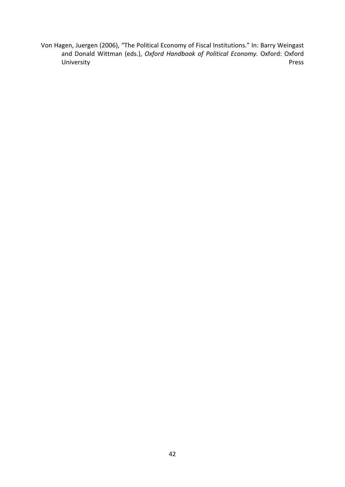Von Hagen, Juergen (2006), "The Political Economy of Fiscal Institutions." In: Barry Weingast and Donald Wittman (eds.), *Oxford Handbook of Political Economy.* Oxford: Oxford University Press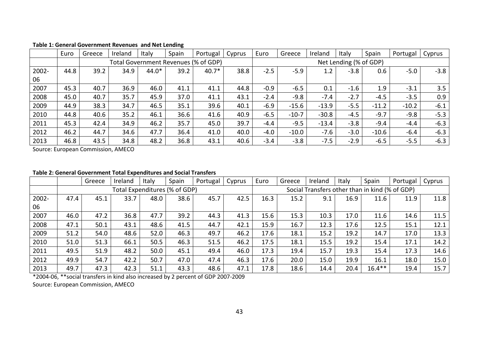|       | Euro | Greece | Ireland | Italy   | Spain | Portugal                             | Cyprus | Euro   | Greece  | Ireland | Italy                  | Spain   | Portugal | Cyprus |
|-------|------|--------|---------|---------|-------|--------------------------------------|--------|--------|---------|---------|------------------------|---------|----------|--------|
|       |      |        |         |         |       | Total Government Revenues (% of GDP) |        |        |         |         | Net Lending (% of GDP) |         |          |        |
| 2002- | 44.8 | 39.2   | 34.9    | $44.0*$ | 39.2  | $40.7*$                              | 38.8   | $-2.5$ | $-5.9$  | 1.2     | $-3.8$                 | 0.6     | $-5.0$   | $-3.8$ |
| 06    |      |        |         |         |       |                                      |        |        |         |         |                        |         |          |        |
| 2007  | 45.3 | 40.7   | 36.9    | 46.0    | 41.1  | 41.1                                 | 44.8   | $-0.9$ | $-6.5$  | 0.1     | $-1.6$                 | 1.9     | $-3.1$   | 3.5    |
| 2008  | 45.0 | 40.7   | 35.7    | 45.9    | 37.0  | 41.1                                 | 43.1   | $-2.4$ | $-9.8$  | $-7.4$  | $-2.7$                 | $-4.5$  | $-3.5$   | 0.9    |
| 2009  | 44.9 | 38.3   | 34.7    | 46.5    | 35.1  | 39.6                                 | 40.1   | $-6.9$ | $-15.6$ | $-13.9$ | $-5.5$                 | $-11.2$ | $-10.2$  | $-6.1$ |
| 2010  | 44.8 | 40.6   | 35.2    | 46.1    | 36.6  | 41.6                                 | 40.9   | $-6.5$ | $-10-7$ | $-30.8$ | $-4.5$                 | $-9.7$  | $-9.8$   | $-5.3$ |
| 2011  | 45.3 | 42.4   | 34.9    | 46.2    | 35.7  | 45.0                                 | 39.7   | $-4.4$ | $-9.5$  | $-13.4$ | $-3.8$                 | $-9.4$  | $-4.4$   | $-6.3$ |
| 2012  | 46.2 | 44.7   | 34.6    | 47.7    | 36.4  | 41.0                                 | 40.0   | $-4.0$ | $-10.0$ | $-7.6$  | $-3.0$                 | $-10.6$ | $-6.4$   | $-6.3$ |
| 2013  | 46.8 | 43.5   | 34.8    | 48.2    | 36.8  | 43.1                                 | 40.6   | $-3.4$ | $-3.8$  | $-7.5$  | $-2.9$                 | $-6.5$  | $-5.5$   | $-6.3$ |

## **Table 1: General Government Revenues and Net Lending**

Source: European Commission, AMECO

#### **Table 2: General Government Total Expenditures and Social Transfers**

|       |      | Greece | Ireland                       | Italy | Spain | Portugal | Cyprus | Euro | Greece | Ireland                                        | Italy | Spain     | Portugal | Cyprus |
|-------|------|--------|-------------------------------|-------|-------|----------|--------|------|--------|------------------------------------------------|-------|-----------|----------|--------|
|       |      |        | Total Expenditures (% of GDP) |       |       |          |        |      |        | Social Transfers other than in kind (% of GDP) |       |           |          |        |
| 2002- | 47.4 | 45.1   | 33.7                          | 48.0  | 38.6  | 45.7     | 42.5   | 16.3 | 15.2   | 9.1                                            | 16.9  | 11.6      | 11.9     | 11.8   |
| 06    |      |        |                               |       |       |          |        |      |        |                                                |       |           |          |        |
| 2007  | 46.0 | 47.2   | 36.8                          | 47.7  | 39.2  | 44.3     | 41.3   | 15.6 | 15.3   | 10.3                                           | 17.0  | 11.6      | 14.6     | 11.5   |
| 2008  | 47.1 | 50.1   | 43.1                          | 48.6  | 41.5  | 44.7     | 42.1   | 15.9 | 16.7   | 12.3                                           | 17.6  | 12.5      | 15.1     | 12.1   |
| 2009  | 51.2 | 54.0   | 48.6                          | 52.0  | 46.3  | 49.7     | 46.2   | 17.6 | 18.1   | 15.2                                           | 19.2  | 14.7      | 17.0     | 13.3   |
| 2010  | 51.0 | 51.3   | 66.1                          | 50.5  | 46.3  | 51.5     | 46.2   | 17.5 | 18.1   | 15.5                                           | 19.2  | 15.4      | 17.1     | 14.2   |
| 2011  | 49.5 | 51.9   | 48.2                          | 50.0  | 45.1  | 49.4     | 46.0   | 17.3 | 19.4   | 15.7                                           | 19.3  | 15.4      | 17.3     | 14.6   |
| 2012  | 49.9 | 54.7   | 42.2                          | 50.7  | 47.0  | 47.4     | 46.3   | 17.6 | 20.0   | 15.0                                           | 19.9  | 16.1      | 18.0     | 15.0   |
| 2013  | 49.7 | 47.3   | 42.3                          | 51.1  | 43.3  | 48.6     | 47.1   | 17.8 | 18.6   | 14.4                                           | 20.4  | $16.4***$ | 19.4     | 15.7   |

\*2004-06, \*\*social transfers in kind also increased by 2 percent of GDP 2007-2009 Source: European Commission, AMECO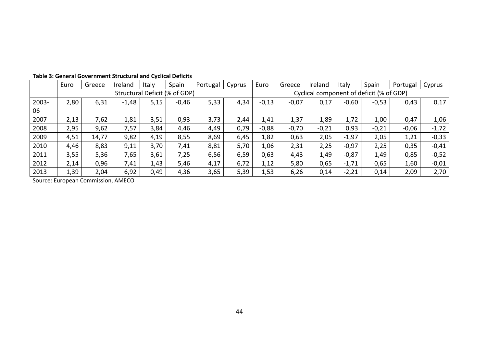|       | Euro | Greece | Ireland | Italy | Spain                         | Portugal | Cyprus  | Euro    | Greece  | Ireland | Italy   | Spain                                    | Portugal | Cyprus  |
|-------|------|--------|---------|-------|-------------------------------|----------|---------|---------|---------|---------|---------|------------------------------------------|----------|---------|
|       |      |        |         |       | Structural Deficit (% of GDP) |          |         |         |         |         |         | Cyclical component of deficit (% of GDP) |          |         |
| 2003- | 2,80 | 6,31   | $-1,48$ | 5,15  | $-0,46$                       | 5,33     | 4,34    | $-0,13$ | $-0,07$ | 0,17    | $-0,60$ | $-0,53$                                  | 0,43     | 0,17    |
| 06    |      |        |         |       |                               |          |         |         |         |         |         |                                          |          |         |
| 2007  | 2,13 | 7,62   | 1,81    | 3,51  | $-0,93$                       | 3,73     | $-2,44$ | $-1,41$ | $-1,37$ | $-1,89$ | 1,72    | $-1,00$                                  | $-0,47$  | $-1,06$ |
| 2008  | 2,95 | 9,62   | 7,57    | 3,84  | 4,46                          | 4,49     | 0,79    | $-0,88$ | $-0,70$ | $-0,21$ | 0,93    | $-0,21$                                  | $-0,06$  | $-1,72$ |
| 2009  | 4,51 | 14,77  | 9,82    | 4,19  | 8,55                          | 8,69     | 6,45    | 1,82    | 0,63    | 2,05    | $-1,97$ | 2,05                                     | 1,21     | $-0,33$ |
| 2010  | 4,46 | 8,83   | 9,11    | 3,70  | 7,41                          | 8,81     | 5,70    | 1,06    | 2,31    | 2,25    | $-0,97$ | 2,25                                     | 0,35     | $-0,41$ |
| 2011  | 3,55 | 5,36   | 7,65    | 3,61  | 7,25                          | 6,56     | 6,59    | 0,63    | 4,43    | 1,49    | $-0,87$ | 1,49                                     | 0,85     | $-0,52$ |
| 2012  | 2,14 | 0,96   | 7,41    | 1,43  | 5,46                          | 4,17     | 6,72    | 1,12    | 5,80    | 0,65    | $-1,71$ | 0,65                                     | 1,60     | $-0,01$ |
| 2013  | 1,39 | 2,04   | 6,92    | 0,49  | 4,36                          | 3,65     | 5,39    | 1,53    | 6,26    | 0,14    | $-2,21$ | 0,14                                     | 2,09     | 2,70    |

## **Table 3: General Government Structural and Cyclical Deficits**

Source: European Commission, AMECO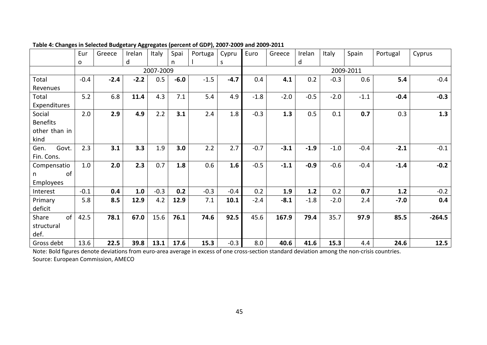|                  | Eur    | Greece | Irelan | Italy     | Spai   | Portuga | Cypru  | Euro   | Greece | Irelan | Italy  | Spain     | Portugal | Cyprus   |
|------------------|--------|--------|--------|-----------|--------|---------|--------|--------|--------|--------|--------|-----------|----------|----------|
|                  | 0      |        | d      |           | n      |         | S      |        |        | d      |        |           |          |          |
|                  |        |        |        | 2007-2009 |        |         |        |        |        |        |        | 2009-2011 |          |          |
| Total            | $-0.4$ | $-2.4$ | $-2.2$ | 0.5       | $-6.0$ | $-1.5$  | $-4.7$ | 0.4    | 4.1    | 0.2    | $-0.3$ | 0.6       | 5.4      | $-0.4$   |
| Revenues         |        |        |        |           |        |         |        |        |        |        |        |           |          |          |
| Total            | 5.2    | 6.8    | 11.4   | 4.3       | 7.1    | 5.4     | 4.9    | $-1.8$ | $-2.0$ | $-0.5$ | $-2.0$ | $-1.1$    | $-0.4$   | $-0.3$   |
| Expenditures     |        |        |        |           |        |         |        |        |        |        |        |           |          |          |
| Social           | 2.0    | 2.9    | 4.9    | 2.2       | 3.1    | 2.4     | 1.8    | $-0.3$ | 1.3    | 0.5    | 0.1    | 0.7       | 0.3      | 1.3      |
| <b>Benefits</b>  |        |        |        |           |        |         |        |        |        |        |        |           |          |          |
| other than in    |        |        |        |           |        |         |        |        |        |        |        |           |          |          |
| kind             |        |        |        |           |        |         |        |        |        |        |        |           |          |          |
| Govt.<br>Gen.    | 2.3    | 3.1    | 3.3    | 1.9       | 3.0    | 2.2     | 2.7    | $-0.7$ | $-3.1$ | $-1.9$ | $-1.0$ | $-0.4$    | $-2.1$   | $-0.1$   |
| Fin. Cons.       |        |        |        |           |        |         |        |        |        |        |        |           |          |          |
| Compensatio      | 1.0    | 2.0    | 2.3    | 0.7       | 1.8    | 0.6     | 1.6    | $-0.5$ | $-1.1$ | $-0.9$ | $-0.6$ | $-0.4$    | $-1.4$   | $-0.2$   |
| of               |        |        |        |           |        |         |        |        |        |        |        |           |          |          |
| <b>Employees</b> |        |        |        |           |        |         |        |        |        |        |        |           |          |          |
| Interest         | $-0.1$ | 0.4    | 1.0    | $-0.3$    | 0.2    | $-0.3$  | $-0.4$ | 0.2    | 1.9    | 1.2    | 0.2    | 0.7       | 1.2      | $-0.2$   |
| Primary          | 5.8    | 8.5    | 12.9   | 4.2       | 12.9   | 7.1     | 10.1   | $-2.4$ | $-8.1$ | $-1.8$ | $-2.0$ | 2.4       | $-7.0$   | 0.4      |
| deficit          |        |        |        |           |        |         |        |        |        |        |        |           |          |          |
| of<br>Share      | 42.5   | 78.1   | 67.0   | 15.6      | 76.1   | 74.6    | 92.5   | 45.6   | 167.9  | 79.4   | 35.7   | 97.9      | 85.5     | $-264.5$ |
| structural       |        |        |        |           |        |         |        |        |        |        |        |           |          |          |
| def.             |        |        |        |           |        |         |        |        |        |        |        |           |          |          |
| Gross debt       | 13.6   | 22.5   | 39.8   | 13.1      | 17.6   | 15.3    | $-0.3$ | 8.0    | 40.6   | 41.6   | 15.3   | 4.4       | 24.6     | 12.5     |

**Table 4: Changes in Selected Budgetary Aggregates (percent of GDP), 2007-2009 and 2009-2011**

Note: Bold figures denote deviations from euro-area average in excess of one cross-section standard deviation among the non-crisis countries. Source: European Commission, AMECO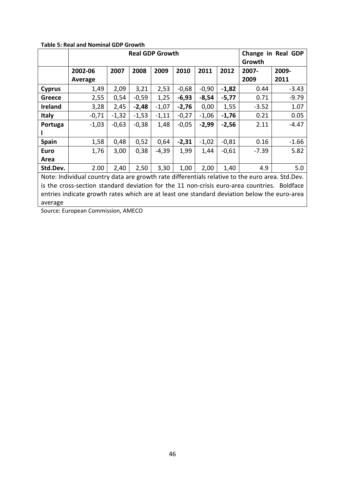|                |                                                                                                 |         | <b>Real GDP Growth</b> |         |         |         |         |         | Change in Real GDP<br>2009-<br>2011<br>0.44<br>$-3.43$<br>$-9.79$<br>0.71 |  |  |
|----------------|-------------------------------------------------------------------------------------------------|---------|------------------------|---------|---------|---------|---------|---------|---------------------------------------------------------------------------|--|--|
|                |                                                                                                 |         |                        |         |         |         |         | Growth  |                                                                           |  |  |
|                | 2002-06                                                                                         | 2007    | 2008                   | 2009    | 2010    | 2011    | 2012    | 2007-   |                                                                           |  |  |
|                | Average                                                                                         |         |                        |         |         |         |         | 2009    |                                                                           |  |  |
| <b>Cyprus</b>  | 1,49                                                                                            | 2,09    | 3,21                   | 2,53    | $-0,68$ | $-0,90$ | $-1,82$ |         |                                                                           |  |  |
| Greece         | 2,55                                                                                            | 0,54    | $-0,59$                | 1,25    | $-6,93$ | $-8,54$ | $-5,77$ |         |                                                                           |  |  |
| <b>Ireland</b> | 3,28                                                                                            | 2,45    | $-2,48$                | $-1,07$ | $-2,76$ | 0,00    | 1,55    | $-3.52$ | 1.07                                                                      |  |  |
| <b>Italy</b>   | $-0,71$                                                                                         | $-1,32$ | $-1,53$                | $-1,11$ | $-0,27$ | $-1,06$ | $-1,76$ | 0.21    | 0.05                                                                      |  |  |
| Portuga        | $-1,03$                                                                                         | $-0,63$ | $-0,38$                | 1,48    | $-0,05$ | $-2,99$ | $-2,56$ | 2.11    | $-4.47$                                                                   |  |  |
|                |                                                                                                 |         |                        |         |         |         |         |         |                                                                           |  |  |
| <b>Spain</b>   | 1,58                                                                                            | 0,48    | 0,52                   | 0,64    | $-2,31$ | $-1,02$ | $-0,81$ | 0.16    | $-1.66$                                                                   |  |  |
| <b>Euro</b>    | 1,76                                                                                            | 3,00    | 0,38                   | $-4,39$ | 1,99    | 1,44    | $-0,61$ | $-7.39$ | 5.82                                                                      |  |  |
| Area           |                                                                                                 |         |                        |         |         |         |         |         |                                                                           |  |  |
| Std.Dev.       | 2.00                                                                                            | 2,40    | 2,50                   | 3,30    | 1,00    | 2,00    | 1,40    | 4.9     | 5.0                                                                       |  |  |
|                | Note: Individual country data are growth rate differentials relative to the euro area. Std.Dev. |         |                        |         |         |         |         |         |                                                                           |  |  |
|                | is the cross-section standard deviation for the 11 non-crisis euro-area countries. Boldface     |         |                        |         |         |         |         |         |                                                                           |  |  |
|                | entries indicate growth rates which are at least one standard deviation below the euro-area     |         |                        |         |         |         |         |         |                                                                           |  |  |
| average        |                                                                                                 |         |                        |         |         |         |         |         |                                                                           |  |  |

**Table 5: Real and Nominal GDP Growth**

Source: European Commission, AMECO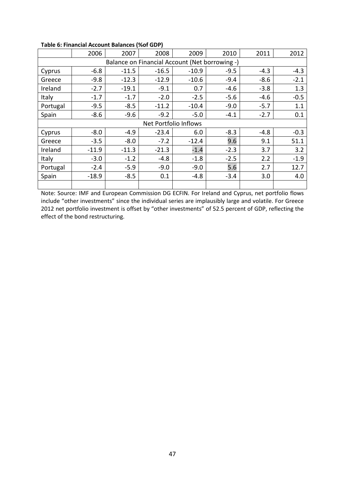|          | 2006    | 2007    | 2008                                           | 2009    | 2010   | 2011   | 2012   |  |  |  |  |  |  |
|----------|---------|---------|------------------------------------------------|---------|--------|--------|--------|--|--|--|--|--|--|
|          |         |         | Balance on Financial Account (Net borrowing -) |         |        |        |        |  |  |  |  |  |  |
| Cyprus   | $-6.8$  | $-11.5$ | $-16.5$                                        | $-10.9$ | $-9.5$ | $-4.3$ | $-4.3$ |  |  |  |  |  |  |
| Greece   | $-9.8$  | $-12.3$ | $-12.9$                                        | $-10.6$ | $-9.4$ | $-8.6$ | $-2.1$ |  |  |  |  |  |  |
| Ireland  | $-2.7$  | $-19.1$ | $-9.1$                                         | 0.7     | $-4.6$ | $-3.8$ | 1.3    |  |  |  |  |  |  |
| Italy    | $-1.7$  | $-1.7$  | $-2.0$                                         | $-2.5$  | $-5.6$ | $-4.6$ | $-0.5$ |  |  |  |  |  |  |
| Portugal | $-9.5$  | $-8.5$  | $-11.2$                                        | $-10.4$ | $-9.0$ | $-5.7$ | 1.1    |  |  |  |  |  |  |
| Spain    | $-8.6$  | $-9.6$  | $-9.2$                                         | $-5.0$  | $-4.1$ | $-2.7$ | 0.1    |  |  |  |  |  |  |
|          |         |         | Net Portfolio Inflows                          |         |        |        |        |  |  |  |  |  |  |
| Cyprus   | $-8.0$  | $-4.9$  | $-23.4$                                        | 6.0     | $-8.3$ | $-4.8$ | $-0.3$ |  |  |  |  |  |  |
| Greece   | $-3.5$  | $-8.0$  | $-7.2$                                         | $-12.4$ | 9.6    | 9.1    | 51.1   |  |  |  |  |  |  |
| Ireland  | $-11.9$ | $-11.3$ | $-21.3$                                        | $-1.4$  | $-2.3$ | 3.7    | 3.2    |  |  |  |  |  |  |
| Italy    | $-3.0$  | $-1.2$  | $-4.8$                                         | $-1.8$  | $-2.5$ | 2.2    | $-1.9$ |  |  |  |  |  |  |
| Portugal | $-2.4$  | $-5.9$  | $-9.0$                                         | $-9.0$  | 5.6    | 2.7    | 12.7   |  |  |  |  |  |  |
| Spain    | $-18.9$ | $-8.5$  | 0.1                                            | $-4.8$  | $-3.4$ | 3.0    | 4.0    |  |  |  |  |  |  |
|          |         |         |                                                |         |        |        |        |  |  |  |  |  |  |

## **Table 6: Financial Account Balances (%of GDP)**

Note: Source: IMF and European Commission DG ECFIN. For Ireland and Cyprus, net portfolio flows include "other investments" since the individual series are implausibly large and volatile. For Greece 2012 net portfolio investment is offset by "other investments" of 52.5 percent of GDP, reflecting the effect of the bond restructuring.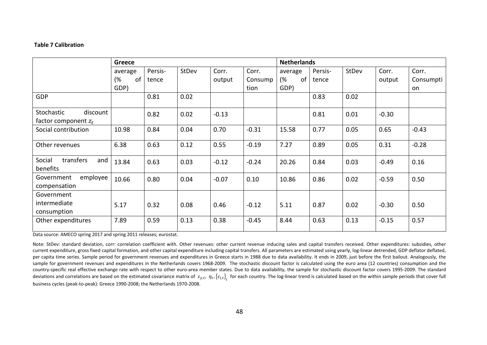#### **Table 7 Calibration**

|                                                  | Greece   |         |              |         |         | <b>Netherlands</b> |         |       |         |           |
|--------------------------------------------------|----------|---------|--------------|---------|---------|--------------------|---------|-------|---------|-----------|
|                                                  | average  | Persis- | <b>StDev</b> | Corr.   | Corr.   | average            | Persis- | StDev | Corr.   | Corr.     |
|                                                  | (%<br>of | tence   |              | output  | Consump | (%<br>of           | tence   |       | output  | Consumpti |
|                                                  | GDP)     |         |              |         | tion    | GDP)               |         |       |         | on        |
| <b>GDP</b>                                       |          | 0.81    | 0.02         |         |         |                    | 0.83    | 0.02  |         |           |
| Stochastic<br>discount<br>factor component $z_t$ |          | 0.82    | 0.02         | $-0.13$ |         |                    | 0.81    | 0.01  | $-0.30$ |           |
| Social contribution                              | 10.98    | 0.84    | 0.04         | 0.70    | $-0.31$ | 15.58              | 0.77    | 0.05  | 0.65    | $-0.43$   |
| Other revenues                                   | 6.38     | 0.63    | 0.12         | 0.55    | $-0.19$ | 7.27               | 0.89    | 0.05  | 0.31    | $-0.28$   |
| transfers<br>and<br>Social<br>benefits           | 13.84    | 0.63    | 0.03         | $-0.12$ | $-0.24$ | 20.26              | 0.84    | 0.03  | $-0.49$ | 0.16      |
| employee<br>Government<br>compensation           | 10.66    | 0.80    | 0.04         | $-0.07$ | 0.10    | 10.86              | 0.86    | 0.02  | $-0.59$ | 0.50      |
| Government                                       |          |         |              |         |         |                    |         |       |         |           |
| intermediate                                     | 5.17     | 0.32    | 0.08         | 0.46    | $-0.12$ | 5.11               | 0.87    | 0.02  | $-0.30$ | 0.50      |
| consumption                                      |          |         |              |         |         |                    |         |       |         |           |
| Other expenditures                               | 7.89     | 0.59    | 0.13         | 0.38    | $-0.45$ | 8.44               | 0.63    | 0.13  | $-0.15$ | 0.57      |

<span id="page-49-0"></span>Data source: AMECO spring 2017 and spring 2011 releases; eurostat.

Note: StDev: standard deviation, corr: correlation coefficient with. Other revenues: other current revenue inducing sales and capital transfers received. Other expenditures: subsidies, other current expenditure, gross fixed capital formation, and other capital expenditure including capital transfers. All parameters are estimated using yearly, log-linear detrended, GDP deflator deflated, per capita time series. Sample period for government revenues and expenditures in Greece starts in 1988 due to data availability. It ends in 2009, just before the first bailout. Analogously, the sample for government revenues and expenditures in the Netherlands covers 1968-2009. The stochastic discount factor is calculated using the euro area (12 countries) consumption and the country-specific real effective exchange rate with respect to other euro-area member states. Due to data availability, the sample for stochastic discount factor covers 1995-2009. The standard deviations and correlations are based on the estimated covariance matrix of  $\varepsilon_{y,t}$ ,  $\eta_t$ ,  $\{\varepsilon_{i,t}\}_i$  for each country. The log-linear trend is calculated based on the within sample periods that cover full in the wi business cycles (peak-to-peak): Greece 1990-2008; the Netherlands 1970-2008.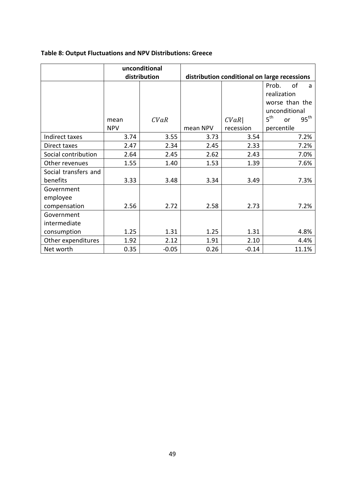## **Table 8: Output Fluctuations and NPV Distributions: Greece**

|                      |            | unconditional |          |           |                                              |
|----------------------|------------|---------------|----------|-----------|----------------------------------------------|
|                      |            | distribution  |          |           | distribution conditional on large recessions |
|                      |            |               |          |           | οf<br>Prob.<br>a                             |
|                      |            |               |          |           | realization                                  |
|                      |            |               |          |           | worse than the                               |
|                      |            |               |          |           | unconditional                                |
|                      | mean       | CVaR          |          | CVaR      | 5 <sup>th</sup><br>$95^{\text{th}}$<br>or    |
|                      | <b>NPV</b> |               | mean NPV | recession | percentile                                   |
| Indirect taxes       | 3.74       | 3.55          | 3.73     | 3.54      | 7.2%                                         |
| Direct taxes         | 2.47       | 2.34          | 2.45     | 2.33      | 7.2%                                         |
| Social contribution  | 2.64       | 2.45          | 2.62     | 2.43      | 7.0%                                         |
| Other revenues       | 1.55       | 1.40          | 1.53     | 1.39      | 7.6%                                         |
| Social transfers and |            |               |          |           |                                              |
| benefits             | 3.33       | 3.48          | 3.34     | 3.49      | 7.3%                                         |
| Government           |            |               |          |           |                                              |
| employee             |            |               |          |           |                                              |
| compensation         | 2.56       | 2.72          | 2.58     | 2.73      | 7.2%                                         |
| Government           |            |               |          |           |                                              |
| intermediate         |            |               |          |           |                                              |
| consumption          | 1.25       | 1.31          | 1.25     | 1.31      | 4.8%                                         |
| Other expenditures   | 1.92       | 2.12          | 1.91     | 2.10      | 4.4%                                         |
| Net worth            | 0.35       | $-0.05$       | 0.26     | $-0.14$   | 11.1%                                        |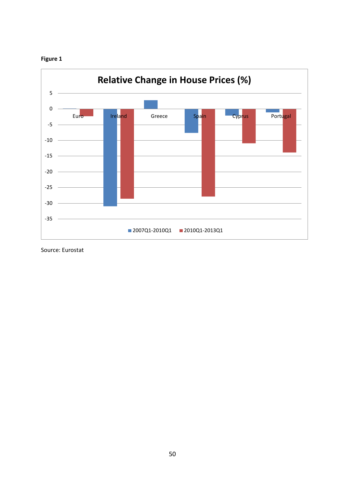



Source: Eurostat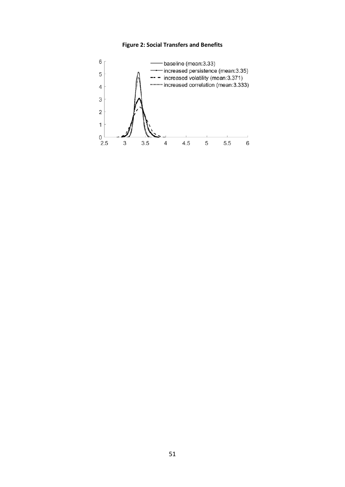#### **Figure 2: Social Transfers and Benefits**

<span id="page-52-1"></span><span id="page-52-0"></span>